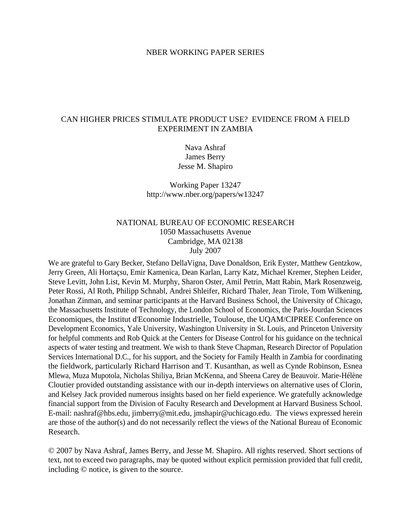#### NBER WORKING PAPER SERIES

### CAN HIGHER PRICES STIMULATE PRODUCT USE? EVIDENCE FROM A FIELD EXPERIMENT IN ZAMBIA

Nava Ashraf James Berry Jesse M. Shapiro

Working Paper 13247 http://www.nber.org/papers/w13247

## NATIONAL BUREAU OF ECONOMIC RESEARCH 1050 Massachusetts Avenue Cambridge, MA 02138 July 2007

We are grateful to Gary Becker, Stefano DellaVigna, Dave Donaldson, Erik Eyster, Matthew Gentzkow, Jerry Green, Ali Hortaçsu, Emir Kamenica, Dean Karlan, Larry Katz, Michael Kremer, Stephen Leider, Steve Levitt, John List, Kevin M. Murphy, Sharon Oster, Amil Petrin, Matt Rabin, Mark Rosenzweig, Peter Rossi, Al Roth, Philipp Schnabl, Andrei Shleifer, Richard Thaler, Jean Tirole, Tom Wilkening, Jonathan Zinman, and seminar participants at the Harvard Business School, the University of Chicago, the Massachusetts Institute of Technology, the London School of Economics, the Paris-Jourdan Sciences Economiques, the Institut d'Economie Industrielle, Toulouse, the UQAM/CIPREE Conference on Development Economics, Yale University, Washington University in St. Louis, and Princeton University for helpful comments and Rob Quick at the Centers for Disease Control for his guidance on the technical aspects of water testing and treatment. We wish to thank Steve Chapman, Research Director of Population Services International D.C., for his support, and the Society for Family Health in Zambia for coordinating the fieldwork, particularly Richard Harrison and T. Kusanthan, as well as Cynde Robinson, Esnea Mlewa, Muza Mupotola, Nicholas Shiliya, Brian McKenna, and Sheena Carey de Beauvoir. Marie-Hélène Cloutier provided outstanding assistance with our in-depth interviews on alternative uses of Clorin, and Kelsey Jack provided numerous insights based on her field experience. We gratefully acknowledge financial support from the Division of Faculty Research and Development at Harvard Business School. E-mail: nashraf@hbs.edu, jimberry@mit.edu, jmshapir@uchicago.edu. The views expressed herein are those of the author(s) and do not necessarily reflect the views of the National Bureau of Economic Research.

© 2007 by Nava Ashraf, James Berry, and Jesse M. Shapiro. All rights reserved. Short sections of text, not to exceed two paragraphs, may be quoted without explicit permission provided that full credit, including © notice, is given to the source.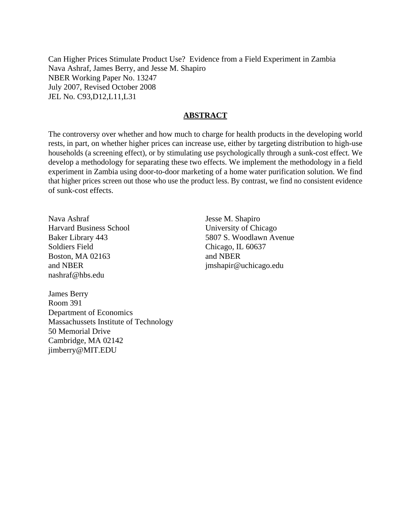Can Higher Prices Stimulate Product Use? Evidence from a Field Experiment in Zambia Nava Ashraf, James Berry, and Jesse M. Shapiro NBER Working Paper No. 13247 July 2007, Revised October 2008 JEL No. C93,D12,L11,L31

### **ABSTRACT**

The controversy over whether and how much to charge for health products in the developing world rests, in part, on whether higher prices can increase use, either by targeting distribution to high-use households (a screening effect), or by stimulating use psychologically through a sunk-cost effect. We develop a methodology for separating these two effects. We implement the methodology in a field experiment in Zambia using door-to-door marketing of a home water purification solution. We find that higher prices screen out those who use the product less. By contrast, we find no consistent evidence of sunk-cost effects.

Nava Ashraf Harvard Business School Baker Library 443 Soldiers Field Boston, MA 02163 and NBER nashraf@hbs.edu

Jesse M. Shapiro University of Chicago 5807 S. Woodlawn Avenue Chicago, IL 60637 and NBER jmshapir@uchicago.edu

James Berry Room 391 Department of Economics Massachussets Institute of Technology 50 Memorial Drive Cambridge, MA 02142 jimberry@MIT.EDU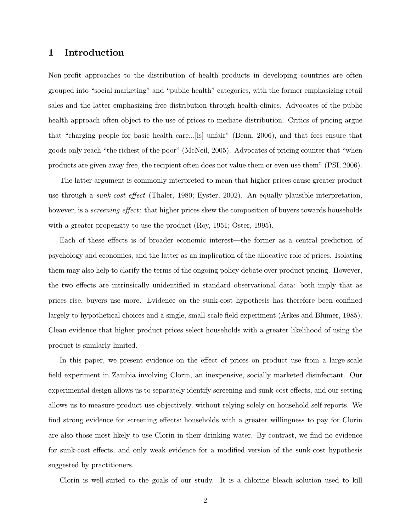# 1 Introduction

Non-profit approaches to the distribution of health products in developing countries are often grouped into "social marketing" and "public health" categories, with the former emphasizing retail sales and the latter emphasizing free distribution through health clinics. Advocates of the public health approach often object to the use of prices to mediate distribution. Critics of pricing argue that "charging people for basic health care...[is] unfair" (Benn, 2006), and that fees ensure that goods only reach "the richest of the poor" (McNeil, 2005). Advocates of pricing counter that "when products are given away free, the recipient often does not value them or even use themî(PSI, 2006).

The latter argument is commonly interpreted to mean that higher prices cause greater product use through a sunk-cost effect (Thaler, 1980; Eyster, 2002). An equally plausible interpretation, however, is a *screening effect*: that higher prices skew the composition of buyers towards households with a greater propensity to use the product (Roy, 1951; Oster, 1995).

Each of these effects is of broader economic interest—the former as a central prediction of psychology and economics, and the latter as an implication of the allocative role of prices. Isolating them may also help to clarify the terms of the ongoing policy debate over product pricing. However, the two effects are intrinsically unidentified in standard observational data: both imply that as prices rise, buyers use more. Evidence on the sunk-cost hypothesis has therefore been confined largely to hypothetical choices and a single, small-scale field experiment (Arkes and Blumer, 1985). Clean evidence that higher product prices select households with a greater likelihood of using the product is similarly limited.

In this paper, we present evidence on the effect of prices on product use from a large-scale field experiment in Zambia involving Clorin, an inexpensive, socially marketed disinfectant. Our experimental design allows us to separately identify screening and sunk-cost effects, and our setting allows us to measure product use objectively, without relying solely on household self-reports. We find strong evidence for screening effects: households with a greater willingness to pay for Clorin are also those most likely to use Clorin in their drinking water. By contrast, we find no evidence for sunk-cost effects, and only weak evidence for a modified version of the sunk-cost hypothesis suggested by practitioners.

Clorin is well-suited to the goals of our study. It is a chlorine bleach solution used to kill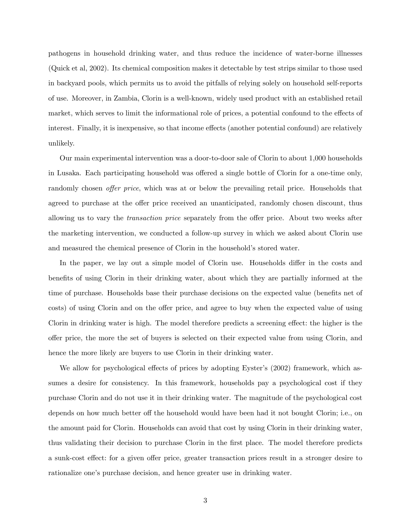pathogens in household drinking water, and thus reduce the incidence of water-borne illnesses (Quick et al, 2002). Its chemical composition makes it detectable by test strips similar to those used in backyard pools, which permits us to avoid the pitfalls of relying solely on household self-reports of use. Moreover, in Zambia, Clorin is a well-known, widely used product with an established retail market, which serves to limit the informational role of prices, a potential confound to the effects of interest. Finally, it is inexpensive, so that income effects (another potential confound) are relatively unlikely.

Our main experimental intervention was a door-to-door sale of Clorin to about 1,000 households in Lusaka. Each participating household was offered a single bottle of Clorin for a one-time only, randomly chosen *offer price*, which was at or below the prevailing retail price. Households that agreed to purchase at the offer price received an unanticipated, randomly chosen discount, thus allowing us to vary the *transaction price* separately from the offer price. About two weeks after the marketing intervention, we conducted a follow-up survey in which we asked about Clorin use and measured the chemical presence of Clorin in the household's stored water.

In the paper, we lay out a simple model of Clorin use. Households differ in the costs and benefits of using Clorin in their drinking water, about which they are partially informed at the time of purchase. Households base their purchase decisions on the expected value (benefits net of costs) of using Clorin and on the offer price, and agree to buy when the expected value of using Clorin in drinking water is high. The model therefore predicts a screening effect: the higher is the offer price, the more the set of buyers is selected on their expected value from using Clorin, and hence the more likely are buyers to use Clorin in their drinking water.

We allow for psychological effects of prices by adopting Eyster's (2002) framework, which assumes a desire for consistency. In this framework, households pay a psychological cost if they purchase Clorin and do not use it in their drinking water. The magnitude of the psychological cost depends on how much better off the household would have been had it not bought Clorin; i.e., on the amount paid for Clorin. Households can avoid that cost by using Clorin in their drinking water, thus validating their decision to purchase Clorin in the first place. The model therefore predicts a sunk-cost effect: for a given offer price, greater transaction prices result in a stronger desire to rationalize one's purchase decision, and hence greater use in drinking water.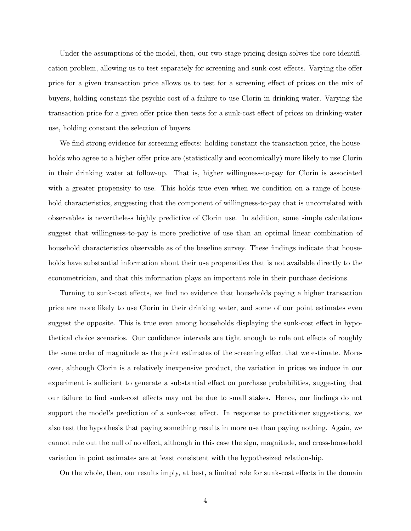Under the assumptions of the model, then, our two-stage pricing design solves the core identification problem, allowing us to test separately for screening and sunk-cost effects. Varying the offer price for a given transaction price allows us to test for a screening effect of prices on the mix of buyers, holding constant the psychic cost of a failure to use Clorin in drinking water. Varying the transaction price for a given offer price then tests for a sunk-cost effect of prices on drinking-water use, holding constant the selection of buyers.

We find strong evidence for screening effects: holding constant the transaction price, the households who agree to a higher offer price are (statistically and economically) more likely to use Clorin in their drinking water at follow-up. That is, higher willingness-to-pay for Clorin is associated with a greater propensity to use. This holds true even when we condition on a range of household characteristics, suggesting that the component of willingness-to-pay that is uncorrelated with observables is nevertheless highly predictive of Clorin use. In addition, some simple calculations suggest that willingness-to-pay is more predictive of use than an optimal linear combination of household characteristics observable as of the baseline survey. These findings indicate that households have substantial information about their use propensities that is not available directly to the econometrician, and that this information plays an important role in their purchase decisions.

Turning to sunk-cost effects, we find no evidence that households paying a higher transaction price are more likely to use Clorin in their drinking water, and some of our point estimates even suggest the opposite. This is true even among households displaying the sunk-cost effect in hypothetical choice scenarios. Our confidence intervals are tight enough to rule out effects of roughly the same order of magnitude as the point estimates of the screening effect that we estimate. Moreover, although Clorin is a relatively inexpensive product, the variation in prices we induce in our experiment is sufficient to generate a substantial effect on purchase probabilities, suggesting that our failure to find sunk-cost effects may not be due to small stakes. Hence, our findings do not support the model's prediction of a sunk-cost effect. In response to practitioner suggestions, we also test the hypothesis that paying something results in more use than paying nothing. Again, we cannot rule out the null of no effect, although in this case the sign, magnitude, and cross-household variation in point estimates are at least consistent with the hypothesized relationship.

On the whole, then, our results imply, at best, a limited role for sunk-cost effects in the domain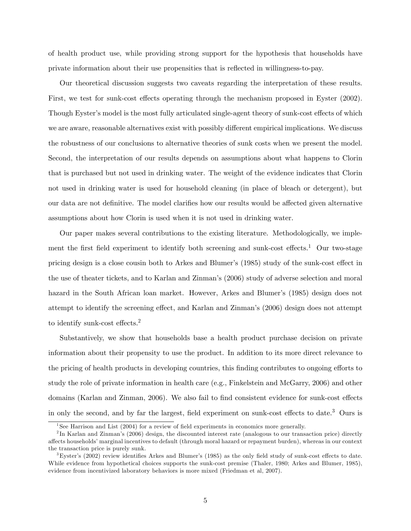of health product use, while providing strong support for the hypothesis that households have private information about their use propensities that is reflected in willingness-to-pay.

Our theoretical discussion suggests two caveats regarding the interpretation of these results. First, we test for sunk-cost effects operating through the mechanism proposed in Eyster (2002). Though Eyster's model is the most fully articulated single-agent theory of sunk-cost effects of which we are aware, reasonable alternatives exist with possibly different empirical implications. We discuss the robustness of our conclusions to alternative theories of sunk costs when we present the model. Second, the interpretation of our results depends on assumptions about what happens to Clorin that is purchased but not used in drinking water. The weight of the evidence indicates that Clorin not used in drinking water is used for household cleaning (in place of bleach or detergent), but our data are not definitive. The model clarifies how our results would be affected given alternative assumptions about how Clorin is used when it is not used in drinking water.

Our paper makes several contributions to the existing literature. Methodologically, we implement the first field experiment to identify both screening and sunk-cost effects.<sup>1</sup> Our two-stage pricing design is a close cousin both to Arkes and Blumer's (1985) study of the sunk-cost effect in the use of theater tickets, and to Karlan and Zinmanís (2006) study of adverse selection and moral hazard in the South African loan market. However, Arkes and Blumer's (1985) design does not attempt to identify the screening effect, and Karlan and Zinman's (2006) design does not attempt to identify sunk-cost effects.<sup>2</sup>

Substantively, we show that households base a health product purchase decision on private information about their propensity to use the product. In addition to its more direct relevance to the pricing of health products in developing countries, this finding contributes to ongoing efforts to study the role of private information in health care (e.g., Finkelstein and McGarry, 2006) and other domains (Karlan and Zinman, 2006). We also fail to find consistent evidence for sunk-cost effects in only the second, and by far the largest, field experiment on sunk-cost effects to date.<sup>3</sup> Ours is

<sup>&</sup>lt;sup>1</sup>See Harrison and List  $(2004)$  for a review of field experiments in economics more generally.

<sup>&</sup>lt;sup>2</sup>In Karlan and Zinman's (2006) design, the discounted interest rate (analogous to our transaction price) directly affects households' marginal incentives to default (through moral hazard or repayment burden), whereas in our context the transaction price is purely sunk.

 $3$ Eyster's (2002) review identifies Arkes and Blumer's (1985) as the only field study of sunk-cost effects to date. While evidence from hypothetical choices supports the sunk-cost premise (Thaler, 1980; Arkes and Blumer, 1985), evidence from incentivized laboratory behaviors is more mixed (Friedman et al, 2007).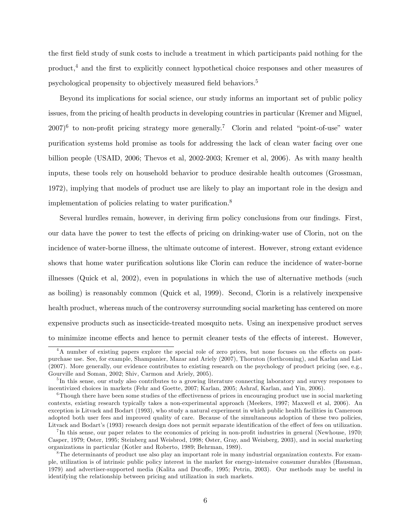the Örst Öeld study of sunk costs to include a treatment in which participants paid nothing for the product,<sup>4</sup> and the first to explicitly connect hypothetical choice responses and other measures of psychological propensity to objectively measured field behaviors.<sup>5</sup>

Beyond its implications for social science, our study informs an important set of public policy issues, from the pricing of health products in developing countries in particular (Kremer and Miguel,  $2007$ <sup>6</sup> to non-profit pricing strategy more generally.<sup>7</sup> Clorin and related "point-of-use" water purification systems hold promise as tools for addressing the lack of clean water facing over one billion people (USAID, 2006; Thevos et al, 2002-2003; Kremer et al, 2006). As with many health inputs, these tools rely on household behavior to produce desirable health outcomes (Grossman, 1972), implying that models of product use are likely to play an important role in the design and implementation of policies relating to water purification. $8$ 

Several hurdles remain, however, in deriving firm policy conclusions from our findings. First, our data have the power to test the effects of pricing on drinking-water use of Clorin, not on the incidence of water-borne illness, the ultimate outcome of interest. However, strong extant evidence shows that home water purification solutions like Clorin can reduce the incidence of water-borne illnesses (Quick et al, 2002), even in populations in which the use of alternative methods (such as boiling) is reasonably common (Quick et al, 1999). Second, Clorin is a relatively inexpensive health product, whereas much of the controversy surrounding social marketing has centered on more expensive products such as insecticide-treated mosquito nets. Using an inexpensive product serves to minimize income effects and hence to permit cleaner tests of the effects of interest. However,

 ${}^{4}$ A number of existing papers explore the special role of zero prices, but none focuses on the effects on postpurchase use. See, for example, Shampanier, Mazar and Ariely (2007), Thornton (forthcoming), and Karlan and List (2007). More generally, our evidence contributes to existing research on the psychology of product pricing (see, e.g., Gourville and Soman, 2002; Shiv, Carmon and Ariely, 2005).

<sup>&</sup>lt;sup>5</sup>In this sense, our study also contributes to a growing literature connecting laboratory and survey responses to incentivized choices in markets (Fehr and Goette, 2007; Karlan, 2005; Ashraf, Karlan, and Yin, 2006).

 $6$ Though there have been some studies of the effectiveness of prices in encouraging product use in social marketing contexts, existing research typically takes a non-experimental approach (Meekers, 1997; Maxwell et al, 2006). An exception is Litvack and Bodart (1993), who study a natural experiment in which public health facilities in Cameroon adopted both user fees and improved quality of care. Because of the simultaneous adoption of these two policies, Litvack and Bodart's (1993) research design does not permit separate identification of the effect of fees on utilization.

 $^{7}$ In this sense, our paper relates to the economics of pricing in non-profit industries in general (Newhouse, 1970; Casper, 1979; Oster, 1995; Steinberg and Weisbrod, 1998; Oster, Gray, and Weinberg, 2003), and in social marketing organizations in particular (Kotler and Roberto, 1989; Behrman, 1989).

<sup>&</sup>lt;sup>8</sup>The determinants of product use also play an important role in many industrial organization contexts. For example, utilization is of intrinsic public policy interest in the market for energy-intensive consumer durables (Hausman, 1979) and advertiser-supported media (Kalita and Ducoffe, 1995; Petrin, 2003). Our methods may be useful in identifying the relationship between pricing and utilization in such markets.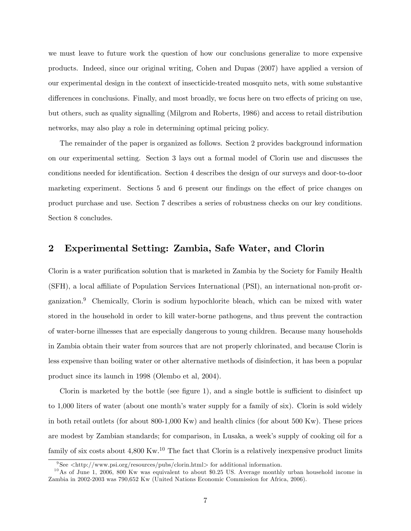we must leave to future work the question of how our conclusions generalize to more expensive products. Indeed, since our original writing, Cohen and Dupas (2007) have applied a version of our experimental design in the context of insecticide-treated mosquito nets, with some substantive differences in conclusions. Finally, and most broadly, we focus here on two effects of pricing on use, but others, such as quality signalling (Milgrom and Roberts, 1986) and access to retail distribution networks, may also play a role in determining optimal pricing policy.

The remainder of the paper is organized as follows. Section 2 provides background information on our experimental setting. Section 3 lays out a formal model of Clorin use and discusses the conditions needed for identification. Section 4 describes the design of our surveys and door-to-door marketing experiment. Sections 5 and 6 present our findings on the effect of price changes on product purchase and use. Section 7 describes a series of robustness checks on our key conditions. Section 8 concludes.

### 2 Experimental Setting: Zambia, Safe Water, and Clorin

Clorin is a water purification solution that is marketed in Zambia by the Society for Family Health (SFH), a local affiliate of Population Services International (PSI), an international non-profit organization.<sup>9</sup> Chemically, Clorin is sodium hypochlorite bleach, which can be mixed with water stored in the household in order to kill water-borne pathogens, and thus prevent the contraction of water-borne illnesses that are especially dangerous to young children. Because many households in Zambia obtain their water from sources that are not properly chlorinated, and because Clorin is less expensive than boiling water or other alternative methods of disinfection, it has been a popular product since its launch in 1998 (Olembo et al, 2004).

Clorin is marketed by the bottle (see figure 1), and a single bottle is sufficient to disinfect up to 1,000 liters of water (about one month's water supply for a family of six). Clorin is sold widely in both retail outlets (for about 800-1,000 Kw) and health clinics (for about 500 Kw). These prices are modest by Zambian standards; for comparison, in Lusaka, a week's supply of cooking oil for a family of six costs about  $4,800 \text{ Kw}.^{10}$  The fact that Clorin is a relatively inexpensive product limits

<sup>&</sup>lt;sup>9</sup>See <http://www.psi.org/resources/pubs/clorin.html> for additional information.

 $10$ As of June 1, 2006, 800 Kw was equivalent to about \$0.25 US. Average monthly urban household income in Zambia in 2002-2003 was 790,652 Kw (United Nations Economic Commission for Africa, 2006).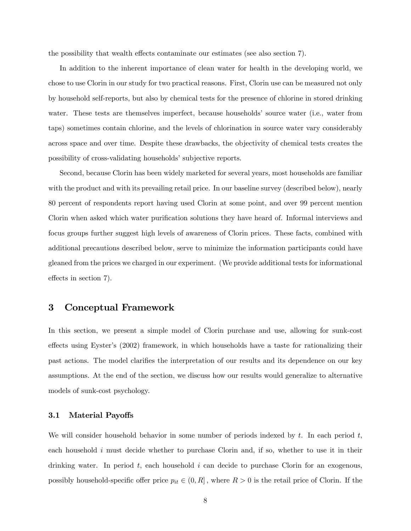the possibility that wealth effects contaminate our estimates (see also section 7).

In addition to the inherent importance of clean water for health in the developing world, we chose to use Clorin in our study for two practical reasons. First, Clorin use can be measured not only by household self-reports, but also by chemical tests for the presence of chlorine in stored drinking water. These tests are themselves imperfect, because households' source water (i.e., water from taps) sometimes contain chlorine, and the levels of chlorination in source water vary considerably across space and over time. Despite these drawbacks, the objectivity of chemical tests creates the possibility of cross-validating households' subjective reports.

Second, because Clorin has been widely marketed for several years, most households are familiar with the product and with its prevailing retail price. In our baseline survey (described below), nearly 80 percent of respondents report having used Clorin at some point, and over 99 percent mention Clorin when asked which water purification solutions they have heard of. Informal interviews and focus groups further suggest high levels of awareness of Clorin prices. These facts, combined with additional precautions described below, serve to minimize the information participants could have gleaned from the prices we charged in our experiment. (We provide additional tests for informational effects in section 7).

### 3 Conceptual Framework

In this section, we present a simple model of Clorin purchase and use, allowing for sunk-cost effects using Eyster's  $(2002)$  framework, in which households have a taste for rationalizing their past actions. The model clarifies the interpretation of our results and its dependence on our key assumptions. At the end of the section, we discuss how our results would generalize to alternative models of sunk-cost psychology.

#### 3.1 Material Payoffs

We will consider household behavior in some number of periods indexed by  $t$ . In each period  $t$ , each household  $i$  must decide whether to purchase Clorin and, if so, whether to use it in their drinking water. In period  $t$ , each household  $i$  can decide to purchase Clorin for an exogenous. possibly household-specific offer price  $p_{it} \in (0, R]$ , where  $R > 0$  is the retail price of Clorin. If the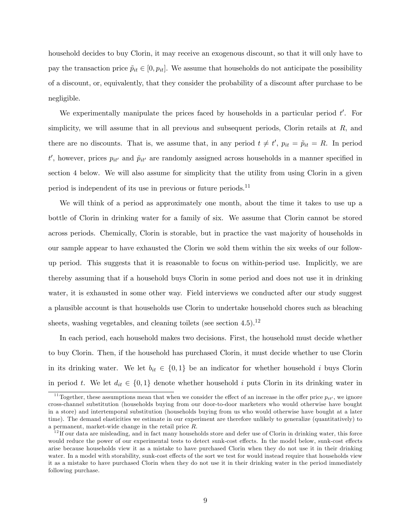household decides to buy Clorin, it may receive an exogenous discount, so that it will only have to pay the transaction price  $\tilde{p}_{it} \in [0, p_{it}]$ . We assume that households do not anticipate the possibility of a discount, or, equivalently, that they consider the probability of a discount after purchase to be negligible.

We experimentally manipulate the prices faced by households in a particular period  $t'$ . For simplicity, we will assume that in all previous and subsequent periods, Clorin retails at  $R$ , and there are no discounts. That is, we assume that, in any period  $t \neq t'$ ,  $p_{it} = \tilde{p}_{it} = R$ . In period  $t'$ , however, prices  $p_{it'}$  and  $\tilde{p}_{it'}$  are randomly assigned across households in a manner specified in section 4 below. We will also assume for simplicity that the utility from using Clorin in a given period is independent of its use in previous or future periods.<sup>11</sup>

We will think of a period as approximately one month, about the time it takes to use up a bottle of Clorin in drinking water for a family of six. We assume that Clorin cannot be stored across periods. Chemically, Clorin is storable, but in practice the vast majority of households in our sample appear to have exhausted the Clorin we sold them within the six weeks of our followup period. This suggests that it is reasonable to focus on within-period use. Implicitly, we are thereby assuming that if a household buys Clorin in some period and does not use it in drinking water, it is exhausted in some other way. Field interviews we conducted after our study suggest a plausible account is that households use Clorin to undertake household chores such as bleaching sheets, washing vegetables, and cleaning toilets (see section  $4.5$ ).<sup>12</sup>

In each period, each household makes two decisions. First, the household must decide whether to buy Clorin. Then, if the household has purchased Clorin, it must decide whether to use Clorin in its drinking water. We let  $b_{it} \in \{0,1\}$  be an indicator for whether household i buys Clorin in period t. We let  $d_{it} \in \{0,1\}$  denote whether household i puts Clorin in its drinking water in

<sup>&</sup>lt;sup>11</sup> Together, these assumptions mean that when we consider the effect of an increase in the offer price  $p_{it'}$ , we ignore cross-channel substitution (households buying from our door-to-door marketers who would otherwise have bought in a store) and intertemporal substitution (households buying from us who would otherwise have bought at a later time). The demand elasticities we estimate in our experiment are therefore unlikely to generalize (quantitatively) to a permanent, market-wide change in the retail price R.

 $12$  If our data are misleading, and in fact many households store and defer use of Clorin in drinking water, this force would reduce the power of our experimental tests to detect sunk-cost effects. In the model below, sunk-cost effects arise because households view it as a mistake to have purchased Clorin when they do not use it in their drinking water. In a model with storability, sunk-cost effects of the sort we test for would instead require that households view it as a mistake to have purchased Clorin when they do not use it in their drinking water in the period immediately following purchase.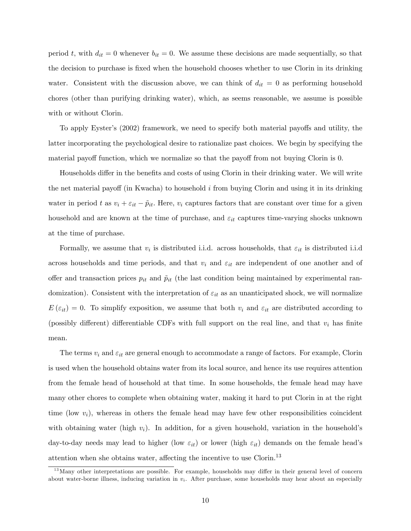period t, with  $d_{it} = 0$  whenever  $b_{it} = 0$ . We assume these decisions are made sequentially, so that the decision to purchase is fixed when the household chooses whether to use Clorin in its drinking water. Consistent with the discussion above, we can think of  $d_{it} = 0$  as performing household chores (other than purifying drinking water), which, as seems reasonable, we assume is possible with or without Clorin.

To apply Eyster's (2002) framework, we need to specify both material payoffs and utility, the latter incorporating the psychological desire to rationalize past choices. We begin by specifying the material payoff function, which we normalize so that the payoff from not buying Clorin is 0.

Households differ in the benefits and costs of using Clorin in their drinking water. We will write the net material payoff (in Kwacha) to household  $i$  from buying Clorin and using it in its drinking water in period t as  $v_i + \varepsilon_{it} - \tilde{p}_{it}$ . Here,  $v_i$  captures factors that are constant over time for a given household and are known at the time of purchase, and  $\varepsilon_{it}$  captures time-varying shocks unknown at the time of purchase.

Formally, we assume that  $v_i$  is distributed i.i.d. across households, that  $\varepsilon_{it}$  is distributed i.i.d across households and time periods, and that  $v_i$  and  $\varepsilon_{it}$  are independent of one another and of offer and transaction prices  $p_{it}$  and  $\tilde{p}_{it}$  (the last condition being maintained by experimental randomization). Consistent with the interpretation of  $\varepsilon_{it}$  as an unanticipated shock, we will normalize  $E(\varepsilon_{it}) = 0$ . To simplify exposition, we assume that both  $v_i$  and  $\varepsilon_{it}$  are distributed according to (possibly different) differentiable CDFs with full support on the real line, and that  $v_i$  has finite mean.

The terms  $v_i$  and  $\varepsilon_{it}$  are general enough to accommodate a range of factors. For example, Clorin is used when the household obtains water from its local source, and hence its use requires attention from the female head of household at that time. In some households, the female head may have many other chores to complete when obtaining water, making it hard to put Clorin in at the right time (low  $v_i$ ), whereas in others the female head may have few other responsibilities coincident with obtaining water (high  $v_i$ ). In addition, for a given household, variation in the household's day-to-day needs may lead to higher (low  $\varepsilon_{it}$ ) or lower (high  $\varepsilon_{it}$ ) demands on the female head's attention when she obtains water, affecting the incentive to use Clorin.<sup>13</sup>

 $13$ Many other interpretations are possible. For example, households may differ in their general level of concern about water-borne illness, inducing variation in  $v_i$ . After purchase, some households may hear about an especially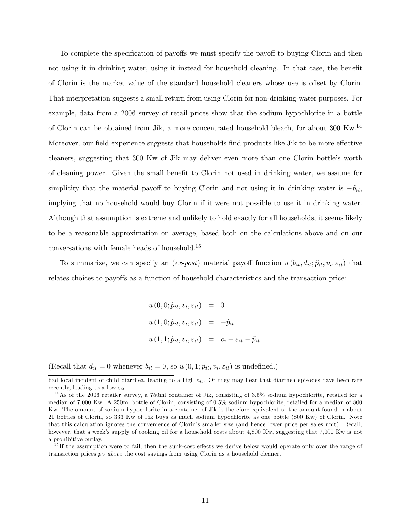To complete the specification of payoffs we must specify the payoff to buying Clorin and then not using it in drinking water, using it instead for household cleaning. In that case, the benefit of Clorin is the market value of the standard household cleaners whose use is offset by Clorin. That interpretation suggests a small return from using Clorin for non-drinking-water purposes. For example, data from a 2006 survey of retail prices show that the sodium hypochlorite in a bottle of Clorin can be obtained from Jik, a more concentrated household bleach, for about 300 Kw.<sup>14</sup> Moreover, our field experience suggests that households find products like Jik to be more effective cleaners, suggesting that 300 Kw of Jik may deliver even more than one Clorin bottleís worth of cleaning power. Given the small benefit to Clorin not used in drinking water, we assume for simplicity that the material payoff to buying Clorin and not using it in drinking water is  $-\tilde{p}_{it}$ , implying that no household would buy Clorin if it were not possible to use it in drinking water. Although that assumption is extreme and unlikely to hold exactly for all households, it seems likely to be a reasonable approximation on average, based both on the calculations above and on our conversations with female heads of household.<sup>15</sup>

To summarize, we can specify an  $(ex\text{-}post)$  material payoff function  $u(b_{it}, d_{it}; \tilde{p}_{it}, v_i, \varepsilon_{it})$  that relates choices to payoffs as a function of household characteristics and the transaction price:

> $u\left(0,0;\tilde{p}_{it},v_{i},\varepsilon_{it}\right)$  = 0  $u(1,0;\tilde{p}_{it},v_i,\varepsilon_{it}) = -\tilde{p}_{it}$  $u(1, 1; \tilde{p}_{it}, v_i, \varepsilon_{it}) = v_i + \varepsilon_{it} - \tilde{p}_{it}.$

(Recall that  $d_{it} = 0$  whenever  $b_{it} = 0$ , so  $u(0, 1; \tilde{p}_{it}, v_i, \varepsilon_{it})$  is undefined.)

bad local incident of child diarrhea, leading to a high  $\varepsilon_{it}$ . Or they may hear that diarrhea episodes have been rare recently, leading to a low  $\varepsilon_{it}$ .

 $14$ As of the 2006 retailer survey, a 750ml container of Jik, consisting of 3.5% sodium hypochlorite, retailed for a median of 7,000 Kw. A 250ml bottle of Clorin, consisting of 0.5% sodium hypochlorite, retailed for a median of 800 Kw. The amount of sodium hypochlorite in a container of Jik is therefore equivalent to the amount found in about 21 bottles of Clorin, so 333 Kw of Jik buys as much sodium hypochlorite as one bottle (800 Kw) of Clorin. Note that this calculation ignores the convenience of Clorin's smaller size (and hence lower price per sales unit). Recall, however, that a week's supply of cooking oil for a household costs about 4,800 Kw, suggesting that 7,000 Kw is not a prohibitive outlay.

 $15$  If the assumption were to fail, then the sunk-cost effects we derive below would operate only over the range of transaction prices  $\tilde{p}_{it}$  above the cost savings from using Clorin as a household cleaner.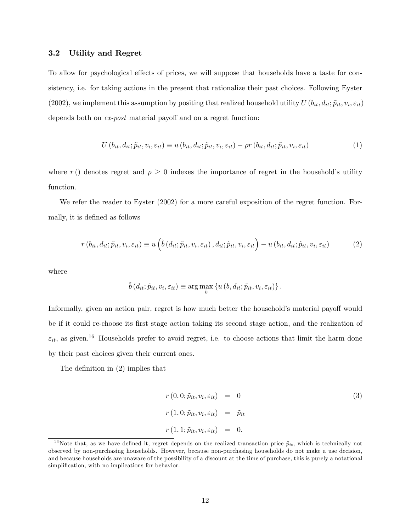#### 3.2 Utility and Regret

To allow for psychological effects of prices, we will suppose that households have a taste for consistency, i.e. for taking actions in the present that rationalize their past choices. Following Eyster (2002), we implement this assumption by positing that realized household utility  $U(b_{it}, d_{it}; \tilde{p}_{it}, v_i, \varepsilon_{it})$ depends both on  $ex\text{-}post$  material payoff and on a regret function:

$$
U(b_{it}, d_{it}; \tilde{p}_{it}, v_i, \varepsilon_{it}) \equiv u(b_{it}, d_{it}; \tilde{p}_{it}, v_i, \varepsilon_{it}) - \rho r(b_{it}, d_{it}; \tilde{p}_{it}, v_i, \varepsilon_{it})
$$
\n(1)

where r() denotes regret and  $\rho \geq 0$  indexes the importance of regret in the household's utility function.

We refer the reader to Eyster  $(2002)$  for a more careful exposition of the regret function. Formally, it is defined as follows

$$
r(b_{it}, d_{it}; \tilde{p}_{it}, v_i, \varepsilon_{it}) \equiv u\left(\tilde{b}\left(d_{it}; \tilde{p}_{it}, v_i, \varepsilon_{it}\right), d_{it}; \tilde{p}_{it}, v_i, \varepsilon_{it}\right) - u\left(b_{it}, d_{it}; \tilde{p}_{it}, v_i, \varepsilon_{it}\right) \tag{2}
$$

where

$$
\tilde{b}(d_{it}; \tilde{p}_{it}, v_i, \varepsilon_{it}) \equiv \arg \max_{b} \{ u(b, d_{it}; \tilde{p}_{it}, v_i, \varepsilon_{it}) \}.
$$

Informally, given an action pair, regret is how much better the household's material payoff would be if it could re-choose its Örst stage action taking its second stage action, and the realization of  $\varepsilon_{it}$ , as given.<sup>16</sup> Households prefer to avoid regret, i.e. to choose actions that limit the harm done by their past choices given their current ones.

The definition in  $(2)$  implies that

$$
r(0,0;\tilde{p}_{it},v_i,\varepsilon_{it}) = 0
$$
  
\n
$$
r(1,0;\tilde{p}_{it},v_i,\varepsilon_{it}) = \tilde{p}_{it}
$$
  
\n
$$
r(1,1;\tilde{p}_{it},v_i,\varepsilon_{it}) = 0.
$$
  
\n(3)

<sup>&</sup>lt;sup>16</sup>Note that, as we have defined it, regret depends on the realized transaction price  $\tilde{p}_{it}$ , which is technically not observed by non-purchasing households. However, because non-purchasing households do not make a use decision, and because households are unaware of the possibility of a discount at the time of purchase, this is purely a notational simplification, with no implications for behavior.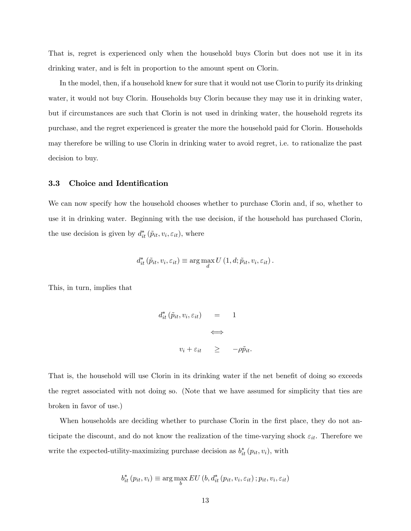That is, regret is experienced only when the household buys Clorin but does not use it in its drinking water, and is felt in proportion to the amount spent on Clorin.

In the model, then, if a household knew for sure that it would not use Clorin to purify its drinking water, it would not buy Clorin. Households buy Clorin because they may use it in drinking water, but if circumstances are such that Clorin is not used in drinking water, the household regrets its purchase, and the regret experienced is greater the more the household paid for Clorin. Households may therefore be willing to use Clorin in drinking water to avoid regret, i.e. to rationalize the past decision to buy.

#### 3.3 Choice and Identification

We can now specify how the household chooses whether to purchase Clorin and, if so, whether to use it in drinking water. Beginning with the use decision, if the household has purchased Clorin, the use decision is given by  $d_{it}^*(\tilde{p}_{it}, v_i, \varepsilon_{it})$ , where

$$
d_{it}^*(\tilde{p}_{it}, v_i, \varepsilon_{it}) \equiv \arg \max_{d} U(1, d; \tilde{p}_{it}, v_i, \varepsilon_{it}).
$$

This, in turn, implies that

$$
d_{it}^{*}(\tilde{p}_{it}, v_{i}, \varepsilon_{it}) = 1
$$
  

$$
\iff
$$
  

$$
v_{i} + \varepsilon_{it} \ge -\rho \tilde{p}_{it}.
$$

That is, the household will use Clorin in its drinking water if the net benefit of doing so exceeds the regret associated with not doing so. (Note that we have assumed for simplicity that ties are broken in favor of use.)

When households are deciding whether to purchase Clorin in the first place, they do not anticipate the discount, and do not know the realization of the time-varying shock  $\varepsilon_{it}$ . Therefore we write the expected-utility-maximizing purchase decision as  $b_{it}^{*}(p_{it}, v_i)$ , with

$$
b_{it}^*(p_{it}, v_i) \equiv \arg\max_b EU(b, d_{it}^*(p_{it}, v_i, \varepsilon_{it}); p_{it}, v_i, \varepsilon_{it})
$$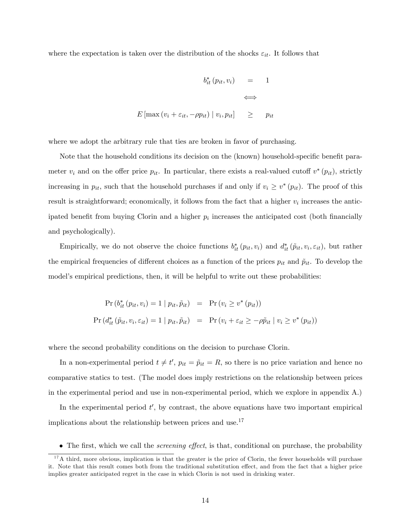where the expectation is taken over the distribution of the shocks  $\varepsilon_{it}$ . It follows that

$$
b_{it}^{*}(p_{it}, v_{i}) = 1
$$
  

$$
\iff
$$
  

$$
E \left[ \max (v_{i} + \varepsilon_{it}, -\rho p_{it}) \mid v_{i}, p_{it} \right] \geq p_{it}
$$

where we adopt the arbitrary rule that ties are broken in favor of purchasing.

Note that the household conditions its decision on the (known) household-specific benefit parameter  $v_i$  and on the offer price  $p_{it}$ . In particular, there exists a real-valued cutoff  $v^*(p_{it})$ , strictly increasing in  $p_{it}$ , such that the household purchases if and only if  $v_i \geq v^*(p_{it})$ . The proof of this result is straightforward; economically, it follows from the fact that a higher  $v_i$  increases the anticipated benefit from buying Clorin and a higher  $p_i$  increases the anticipated cost (both financially and psychologically).

Empirically, we do not observe the choice functions  $b_{it}^*(p_{it}, v_i)$  and  $d_{it}^*(\tilde{p}_{it}, v_i, \varepsilon_{it})$ , but rather the empirical frequencies of different choices as a function of the prices  $p_{it}$  and  $\tilde{p}_{it}$ . To develop the model's empirical predictions, then, it will be helpful to write out these probabilities:

$$
\Pr\left(b_{it}^*\left(p_{it}, v_i\right) = 1 \mid p_{it}, \tilde{p}_{it}\right) = \Pr\left(v_i \ge v^*\left(p_{it}\right)\right)
$$
\n
$$
\Pr\left(d_{it}^*\left(\tilde{p}_{it}, v_i, \varepsilon_{it}\right) = 1 \mid p_{it}, \tilde{p}_{it}\right) = \Pr\left(v_i + \varepsilon_{it} \ge -\rho \tilde{p}_{it} \mid v_i \ge v^*\left(p_{it}\right)\right)
$$

where the second probability conditions on the decision to purchase Clorin.

In a non-experimental period  $t \neq t'$ ,  $p_{it} = \tilde{p}_{it} = R$ , so there is no price variation and hence no comparative statics to test. (The model does imply restrictions on the relationship between prices in the experimental period and use in non-experimental period, which we explore in appendix A.)

In the experimental period  $t'$ , by contrast, the above equations have two important empirical implications about the relationship between prices and use.<sup>17</sup>

 $\bullet$  The first, which we call the *screening effect*, is that, conditional on purchase, the probability

 $17A$  third, more obvious, implication is that the greater is the price of Clorin, the fewer households will purchase it. Note that this result comes both from the traditional substitution effect, and from the fact that a higher price implies greater anticipated regret in the case in which Clorin is not used in drinking water.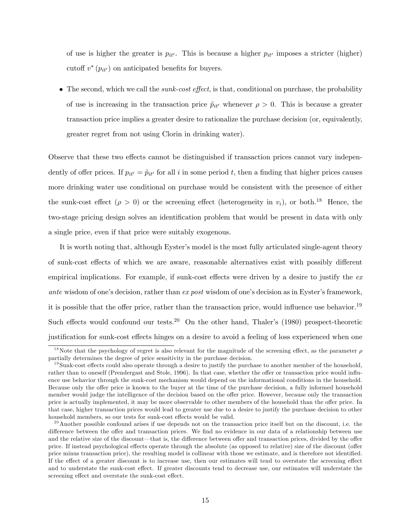of use is higher the greater is  $p_{it'}$ . This is because a higher  $p_{it'}$  imposes a stricter (higher) cutoff  $v^*(p_{it'})$  on anticipated benefits for buyers.

 $\bullet$  The second, which we call the *sunk-cost effect*, is that, conditional on purchase, the probability of use is increasing in the transaction price  $\tilde{p}_{it'}$  whenever  $\rho > 0$ . This is because a greater transaction price implies a greater desire to rationalize the purchase decision (or, equivalently, greater regret from not using Clorin in drinking water).

Observe that these two effects cannot be distinguished if transaction prices cannot vary independently of offer prices. If  $p_{it'} = \tilde{p}_{it'}$  for all i in some period t, then a finding that higher prices causes more drinking water use conditional on purchase would be consistent with the presence of either the sunk-cost effect ( $\rho > 0$ ) or the screening effect (heterogeneity in  $v_i$ ), or both.<sup>18</sup> Hence, the two-stage pricing design solves an identification problem that would be present in data with only a single price, even if that price were suitably exogenous.

It is worth noting that, although Eyster's model is the most fully articulated single-agent theory of sunk-cost effects of which we are aware, reasonable alternatives exist with possibly different empirical implications. For example, if sunk-cost effects were driven by a desire to justify the  $ex$ ante wisdom of one's decision, rather than ex post wisdom of one's decision as in Eyster's framework, it is possible that the offer price, rather than the transaction price, would influence use behavior.<sup>19</sup> Such effects would confound our tests.<sup>20</sup> On the other hand, Thaler's (1980) prospect-theoretic justification for sunk-cost effects hinges on a desire to avoid a feeling of loss experienced when one

<sup>&</sup>lt;sup>18</sup>Note that the psychology of regret is also relevant for the magnitude of the screening effect, as the parameter  $\rho$ partially determines the degree of price sensitivity in the purchase decision.

 $19$ Sunk-cost effects could also operate through a desire to justify the purchase to another member of the household, rather than to oneself (Prendergast and Stole, 1996). In that case, whether the offer or transaction price would influence use behavior through the sunk-cost mechanism would depend on the informational conditions in the household. Because only the offer price is known to the buyer at the time of the purchase decision, a fully informed household member would judge the intelligence of the decision based on the offer price. However, because only the transaction price is actually implemented, it may be more observable to other members of the household than the offer price. In that case, higher transaction prices would lead to greater use due to a desire to justify the purchase decision to other household members, so our tests for sunk-cost effects would be valid.

 $20$ Another possible confound arises if use depends not on the transaction price itself but on the discount, i.e. the difference between the offer and transaction prices. We find no evidence in our data of a relationship between use and the relative size of the discount—that is, the difference between offer and transaction prices, divided by the offer price. If instead psychological effects operate through the absolute (as opposed to relative) size of the discount (offer price minus transaction price), the resulting model is collinear with those we estimate, and is therefore not identified. If the effect of a greater discount is to increase use, then our estimates will tend to overstate the screening effect and to understate the sunk-cost effect. If greater discounts tend to decrease use, our estimates will understate the screening effect and overstate the sunk-cost effect.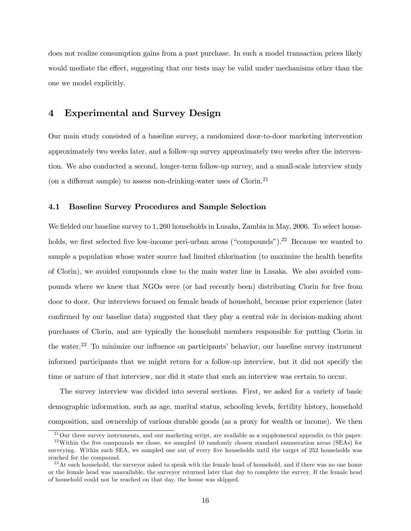does not realize consumption gains from a past purchase. In such a model transaction prices likely would mediate the effect, suggesting that our tests may be valid under mechanisms other than the one we model explicitly.

### 4 Experimental and Survey Design

Our main study consisted of a baseline survey, a randomized door-to-door marketing intervention approximately two weeks later, and a follow-up survey approximately two weeks after the intervention. We also conducted a second, longer-term follow-up survey, and a small-scale interview study (on a different sample) to assess non-drinking-water uses of Clorin.<sup>21</sup>

#### 4.1 Baseline Survey Procedures and Sample Selection

We fielded our baseline survey to 1, 260 households in Lusaka, Zambia in May, 2006. To select households, we first selected five low-income peri-urban areas ("compounds").<sup>22</sup> Because we wanted to sample a population whose water source had limited chlorination (to maximize the health benefits of Clorin), we avoided compounds close to the main water line in Lusaka. We also avoided compounds where we knew that NGOs were (or had recently been) distributing Clorin for free from door to door. Our interviews focused on female heads of household, because prior experience (later confirmed by our baseline data) suggested that they play a central role in decision-making about purchases of Clorin, and are typically the household members responsible for putting Clorin in the water.<sup>23</sup> To minimize our influence on participants' behavior, our baseline survey instrument informed participants that we might return for a follow-up interview, but it did not specify the time or nature of that interview, nor did it state that such an interview was certain to occur.

The survey interview was divided into several sections. First, we asked for a variety of basic demographic information, such as age, marital status, schooling levels, fertility history, household composition, and ownership of various durable goods (as a proxy for wealth or income). We then

 $^{21}$ Our three survey instruments, and our marketing script, are available as a supplemental appendix to this paper.

 $^{22}$ Within the five compounds we chose, we sampled 10 randomly chosen standard enumeration areas (SEAs) for surveying. Within each SEA, we sampled one out of every five households until the target of 252 households was reached for the compound.

 $^{23}$  At each household, the surveyor asked to speak with the female head of household, and if there was no one home or the female head was unavailable, the surveyor returned later that day to complete the survey. If the female head of household could not be reached on that day, the house was skipped.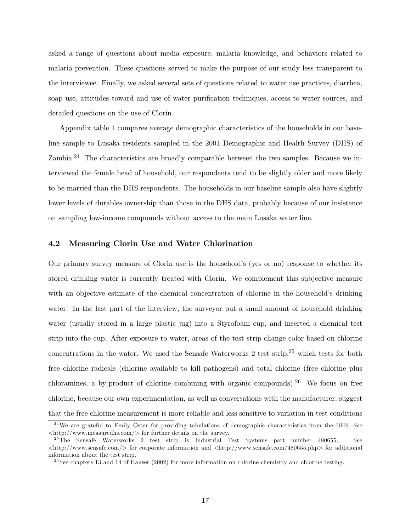asked a range of questions about media exposure, malaria knowledge, and behaviors related to malaria prevention. These questions served to make the purpose of our study less transparent to the interviewee. Finally, we asked several sets of questions related to water use practices, diarrhea, soap use, attitudes toward and use of water purification techniques, access to water sources, and detailed questions on the use of Clorin.

Appendix table 1 compares average demographic characteristics of the households in our baseline sample to Lusaka residents sampled in the 2001 Demographic and Health Survey (DHS) of Zambia.<sup>24</sup> The characteristics are broadly comparable between the two samples. Because we interviewed the female head of household, our respondents tend to be slightly older and more likely to be married than the DHS respondents. The households in our baseline sample also have slightly lower levels of durables ownership than those in the DHS data, probably because of our insistence on sampling low-income compounds without access to the main Lusaka water line.

#### 4.2 Measuring Clorin Use and Water Chlorination

Our primary survey measure of Clorin use is the household's (yes or no) response to whether its stored drinking water is currently treated with Clorin. We complement this subjective measure with an objective estimate of the chemical concentration of chlorine in the household's drinking water. In the last part of the interview, the survey or put a small amount of household drinking water (usually stored in a large plastic jug) into a Styrofoam cup, and inserted a chemical test strip into the cup. After exposure to water, areas of the test strip change color based on chlorine concentrations in the water. We used the Sensafe Waterworks 2 test strip,  $2^5$  which tests for both free chlorine radicals (chlorine available to kill pathogens) and total chlorine (free chlorine plus chloramines, a by-product of chlorine combining with organic compounds).<sup>26</sup> We focus on free chlorine, because our own experimentation, as well as conversations with the manufacturer, suggest that the free chlorine measurement is more reliable and less sensitive to variation in test conditions

 $^{24}$ We are grateful to Emily Oster for providing tabulations of demographic characteristics from the DHS. See  $\langle$ http://www.measuredhs.com/ $>$  for further details on the survey.

<sup>&</sup>lt;sup>25</sup>The Sensafe Waterworks 2 test strip is Industrial Test Systems part number 480655. See  $\langle \text{http://www.sensafe.com/}\rangle$  for corporate information and  $\langle \text{http://www.sensafe.com/480655.php}\rangle$  for additional information about the test strip.

<sup>&</sup>lt;sup>26</sup>See chapters 13 and 14 of Hauser (2002) for more information on chlorine chemistry and chlorine testing.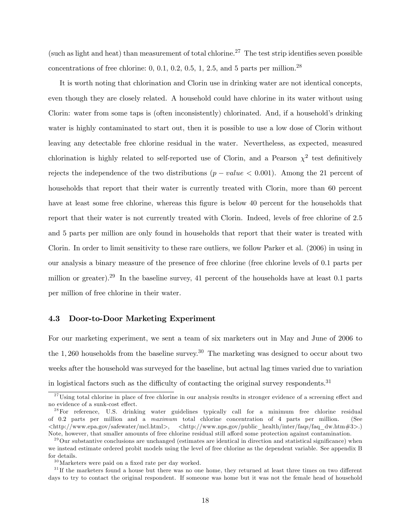(such as light and heat) than measurement of total chlorine.<sup>27</sup> The test strip identifies seven possible concentrations of free chlorine:  $0, 0.1, 0.2, 0.5, 1, 2.5,$  and 5 parts per million.<sup>28</sup>

It is worth noting that chlorination and Clorin use in drinking water are not identical concepts, even though they are closely related. A household could have chlorine in its water without using Clorin: water from some taps is (often inconsistently) chlorinated. And, if a household's drinking water is highly contaminated to start out, then it is possible to use a low dose of Clorin without leaving any detectable free chlorine residual in the water. Nevertheless, as expected, measured chlorination is highly related to self-reported use of Clorin, and a Pearson  $\chi^2$  test definitively rejects the independence of the two distributions  $(p - value < 0.001)$ . Among the 21 percent of households that report that their water is currently treated with Clorin, more than 60 percent have at least some free chlorine, whereas this figure is below 40 percent for the households that report that their water is not currently treated with Clorin. Indeed, levels of free chlorine of 2:5 and 5 parts per million are only found in households that report that their water is treated with Clorin. In order to limit sensitivity to these rare outliers, we follow Parker et al. (2006) in using in our analysis a binary measure of the presence of free chlorine (free chlorine levels of 0:1 parts per million or greater).<sup>29</sup> In the baseline survey, 41 percent of the households have at least 0.1 parts per million of free chlorine in their water.

#### 4.3 Door-to-Door Marketing Experiment

For our marketing experiment, we sent a team of six marketers out in May and June of 2006 to the 1,260 households from the baseline survey.<sup>30</sup> The marketing was designed to occur about two weeks after the household was surveyed for the baseline, but actual lag times varied due to variation in logistical factors such as the difficulty of contacting the original survey respondents.<sup>31</sup>

 $27$ Using total chlorine in place of free chlorine in our analysis results in stronger evidence of a screening effect and no evidence of a sunk-cost effect.

<sup>&</sup>lt;sup>28</sup>For reference, U.S. drinking water guidelines typically call for a minimum free chlorine residual of 0:2 parts per million and a maximum total chlorine concentration of 4 parts per million. (See  $\langle \text{http://www.epa.gov/safewater/mcl.html}\rangle, \quad \langle \text{http://www.pps.gov/public-health/inter/flags/faq-dw.htm#3}\rangle.$ Note, however, that smaller amounts of free chlorine residual still afford some protection against contamination.

 $29$ Our substantive conclusions are unchanged (estimates are identical in direction and statistical significance) when we instead estimate ordered probit models using the level of free chlorine as the dependent variable. See appendix B for details.

 $^{30}\rm{Marketers}$  were paid on a fixed rate per day worked.

 $3<sup>1</sup>$  If the marketers found a house but there was no one home, they returned at least three times on two different days to try to contact the original respondent. If someone was home but it was not the female head of household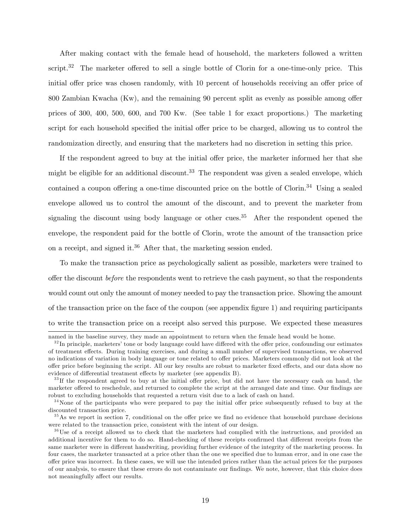After making contact with the female head of household, the marketers followed a written script.<sup>32</sup> The marketer offered to sell a single bottle of Clorin for a one-time-only price. This initial offer price was chosen randomly, with 10 percent of households receiving an offer price of  $800$  Zambian Kwacha (Kw), and the remaining 90 percent split as evenly as possible among offer prices of 300, 400, 500, 600, and 700 Kw. (See table 1 for exact proportions.) The marketing script for each household specified the initial offer price to be charged, allowing us to control the randomization directly, and ensuring that the marketers had no discretion in setting this price.

If the respondent agreed to buy at the initial offer price, the marketer informed her that she might be eligible for an additional discount.<sup>33</sup> The respondent was given a sealed envelope, which contained a coupon offering a one-time discounted price on the bottle of Clorin.<sup>34</sup> Using a sealed envelope allowed us to control the amount of the discount, and to prevent the marketer from signaling the discount using body language or other cues.<sup>35</sup> After the respondent opened the envelope, the respondent paid for the bottle of Clorin, wrote the amount of the transaction price on a receipt, and signed it.<sup>36</sup> After that, the marketing session ended.

To make the transaction price as psychologically salient as possible, marketers were trained to offer the discount *before* the respondents went to retrieve the cash payment, so that the respondents would count out only the amount of money needed to pay the transaction price. Showing the amount of the transaction price on the face of the coupon (see appendix Ögure 1) and requiring participants to write the transaction price on a receipt also served this purpose. We expected these measures

named in the baseline survey, they made an appointment to return when the female head would be home.

 $3<sup>32</sup>$  In principle, marketers' tone or body language could have differed with the offer price, confounding our estimates of treatment effects. During training exercises, and during a small number of supervised transactions, we observed no indications of variation in body language or tone related to offer prices. Marketers commonly did not look at the offer price before beginning the script. All our key results are robust to marketer fixed effects, and our data show no evidence of differential treatment effects by marketer (see appendix B).

 $33$  If the respondent agreed to buy at the initial offer price, but did not have the necessary cash on hand, the marketer offered to reschedule, and returned to complete the script at the arranged date and time. Our findings are robust to excluding households that requested a return visit due to a lack of cash on hand.

 $34$ None of the participants who were prepared to pay the initial offer price subsequently refused to buy at the discounted transaction price.

 $35$ As we report in section 7, conditional on the offer price we find no evidence that household purchase decisions were related to the transaction price, consistent with the intent of our design.

<sup>&</sup>lt;sup>36</sup>Use of a receipt allowed us to check that the marketers had complied with the instructions, and provided an additional incentive for them to do so. Hand-checking of these receipts confirmed that different receipts from the same marketer were in different handwriting, providing further evidence of the integrity of the marketing process. In four cases, the marketer transacted at a price other than the one we specified due to human error, and in one case the o§er price was incorrect. In these cases, we will use the intended prices rather than the actual prices for the purposes of our analysis, to ensure that these errors do not contaminate our Öndings. We note, however, that this choice does not meaningfully affect our results.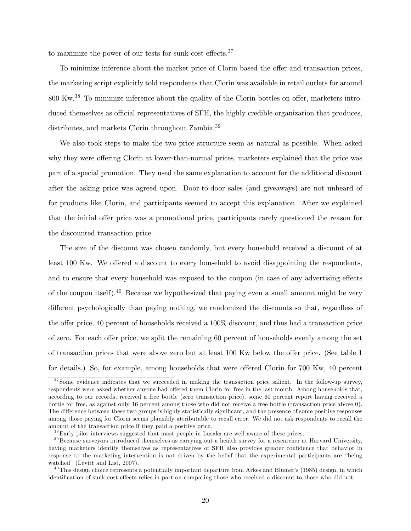to maximize the power of our tests for sunk-cost effects.<sup>37</sup>

To minimize inference about the market price of Clorin based the offer and transaction prices, the marketing script explicitly told respondents that Clorin was available in retail outlets for around  $800 \text{ Kw.}^{38}$  To minimize inference about the quality of the Clorin bottles on offer, marketers introduced themselves as official representatives of SFH, the highly credible organization that produces, distributes, and markets Clorin throughout Zambia.<sup>39</sup>

We also took steps to make the two-price structure seem as natural as possible. When asked why they were offering Clorin at lower-than-normal prices, marketers explained that the price was part of a special promotion. They used the same explanation to account for the additional discount after the asking price was agreed upon. Door-to-door sales (and giveaways) are not unheard of for products like Clorin, and participants seemed to accept this explanation. After we explained that the initial offer price was a promotional price, participants rarely questioned the reason for the discounted transaction price.

The size of the discount was chosen randomly, but every household received a discount of at least 100 Kw. We offered a discount to every household to avoid disappointing the respondents, and to ensure that every household was exposed to the coupon (in case of any advertising effects of the coupon itself).<sup>40</sup> Because we hypothesized that paying even a small amount might be very different psychologically than paying nothing, we randomized the discounts so that, regardless of the offer price, 40 percent of households received a  $100\%$  discount, and thus had a transaction price of zero. For each offer price, we split the remaining 60 percent of households evenly among the set of transaction prices that were above zero but at least  $100 \text{ Kw}$  below the offer price. (See table 1) for details.) So, for example, among households that were offered Clorin for  $700 \text{ Kw}$ ,  $40 \text{ percent}$ 

<sup>&</sup>lt;sup>37</sup>Some evidence indicates that we succeeded in making the transaction price salient. In the follow-up survey, respondents were asked whether anyone had offered them Clorin for free in the last month. Among households that, according to our records, received a free bottle (zero transaction price), some 60 percent report having received a bottle for free, as against only 16 percent among those who did not receive a free bottle (transaction price above 0). The difference between these two groups is highly statistically significant, and the presence of some positive responses among those paying for Clorin seems plausibly attributable to recall error. We did not ask respondents to recall the amount of the transaction price if they paid a positive price.

<sup>&</sup>lt;sup>38</sup>Early pilot interviews suggested that most people in Lusaka are well aware of these prices.

 $39$ Because surveyors introduced themselves as carrying out a health survey for a researcher at Harvard University, having marketers identify themselves as representatives of SFH also provides greater confidence that behavior in response to the marketing intervention is not driven by the belief that the experimental participants are "being watched" (Levitt and List, 2007).

 $^{40}$ This design choice represents a potentially important departure from Arkes and Blumer's (1985) design, in which identification of sunk-cost effects relies in part on comparing those who received a discount to those who did not.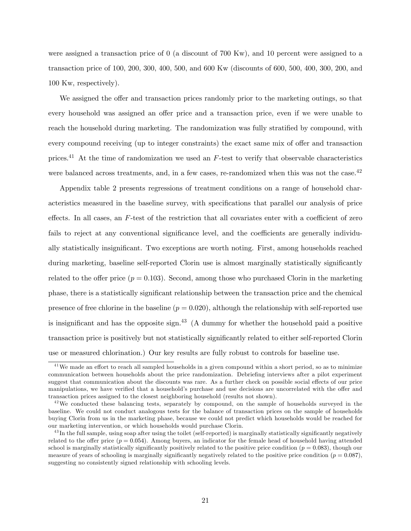were assigned a transaction price of 0 (a discount of 700 Kw), and 10 percent were assigned to a transaction price of 100, 200, 300, 400, 500, and 600 Kw (discounts of 600, 500, 400, 300, 200, and 100 Kw, respectively).

We assigned the offer and transaction prices randomly prior to the marketing outings, so that every household was assigned an offer price and a transaction price, even if we were unable to reach the household during marketing. The randomization was fully stratified by compound, with every compound receiving (up to integer constraints) the exact same mix of offer and transaction prices.<sup>41</sup> At the time of randomization we used an  $F$ -test to verify that observable characteristics were balanced across treatments, and, in a few cases, re-randomized when this was not the case.<sup>42</sup>

Appendix table 2 presents regressions of treatment conditions on a range of household characteristics measured in the baseline survey, with specifications that parallel our analysis of price effects. In all cases, an  $F$ -test of the restriction that all covariates enter with a coefficient of zero fails to reject at any conventional significance level, and the coefficients are generally individually statistically insigniÖcant. Two exceptions are worth noting. First, among households reached during marketing, baseline self-reported Clorin use is almost marginally statistically significantly related to the offer price  $(p = 0.103)$ . Second, among those who purchased Clorin in the marketing phase, there is a statistically significant relationship between the transaction price and the chemical presence of free chlorine in the baseline  $(p = 0.020)$ , although the relationship with self-reported use is insignificant and has the opposite sign. $43$  (A dummy for whether the household paid a positive transaction price is positively but not statistically significantly related to either self-reported Clorin use or measured chlorination.) Our key results are fully robust to controls for baseline use.

 $41$ We made an effort to reach all sampled households in a given compound within a short period, so as to minimize communication between households about the price randomization. Debriefing interviews after a pilot experiment suggest that communication about the discounts was rare. As a further check on possible social effects of our price manipulations, we have verified that a household's purchase and use decisions are uncorrelated with the offer and transaction prices assigned to the closest neighboring household (results not shown).

<sup>&</sup>lt;sup>42</sup>We conducted these balancing tests, separately by compound, on the sample of households surveyed in the baseline. We could not conduct analogous tests for the balance of transaction prices on the sample of households buying Clorin from us in the marketing phase, because we could not predict which households would be reached for our marketing intervention, or which households would purchase Clorin.

 $^{43}$ In the full sample, using soap after using the toilet (self-reported) is marginally statistically significantly negatively related to the offer price  $(p = 0.054)$ . Among buyers, an indicator for the female head of household having attended school is marginally statistically significantly positively related to the positive price condition ( $p = 0.083$ ), though our measure of years of schooling is marginally significantly negatively related to the positive price condition ( $p = 0.087$ ). suggesting no consistently signed relationship with schooling levels.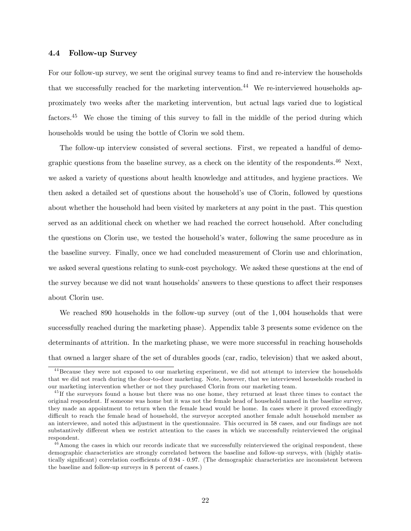#### 4.4 Follow-up Survey

For our follow-up survey, we sent the original survey teams to find and re-interview the households that we successfully reached for the marketing intervention.<sup>44</sup> We re-interviewed households approximately two weeks after the marketing intervention, but actual lags varied due to logistical factors.<sup>45</sup> We chose the timing of this survey to fall in the middle of the period during which households would be using the bottle of Clorin we sold them.

The follow-up interview consisted of several sections. First, we repeated a handful of demographic questions from the baseline survey, as a check on the identity of the respondents.<sup>46</sup> Next, we asked a variety of questions about health knowledge and attitudes, and hygiene practices. We then asked a detailed set of questions about the household's use of Clorin, followed by questions about whether the household had been visited by marketers at any point in the past. This question served as an additional check on whether we had reached the correct household. After concluding the questions on Clorin use, we tested the household's water, following the same procedure as in the baseline survey. Finally, once we had concluded measurement of Clorin use and chlorination, we asked several questions relating to sunk-cost psychology. We asked these questions at the end of the survey because we did not want households' answers to these questions to affect their responses about Clorin use.

We reached 890 households in the follow-up survey (out of the 1,004 households that were successfully reached during the marketing phase). Appendix table 3 presents some evidence on the determinants of attrition. In the marketing phase, we were more successful in reaching households that owned a larger share of the set of durables goods (car, radio, television) that we asked about,

<sup>4 4</sup>Because they were not exposed to our marketing experiment, we did not attempt to interview the households that we did not reach during the door-to-door marketing. Note, however, that we interviewed households reached in our marketing intervention whether or not they purchased Clorin from our marketing team.

 $^{45}$ If the surveyors found a house but there was no one home, they returned at least three times to contact the original respondent. If someone was home but it was not the female head of household named in the baseline survey, they made an appointment to return when the female head would be home. In cases where it proved exceedingly difficult to reach the female head of household, the surveyor accepted another female adult household member as an interviewee, and noted this adjustment in the questionnaire. This occurred in 58 cases, and our findings are not substantively different when we restrict attention to the cases in which we successfully reinterviewed the original respondent.

 $46$  Among the cases in which our records indicate that we successfully reinterviewed the original respondent, these demographic characteristics are strongly correlated between the baseline and follow-up surveys, with (highly statistically significant) correlation coefficients of 0.94 - 0.97. (The demographic characteristics are inconsistent between the baseline and follow-up surveys in 8 percent of cases.)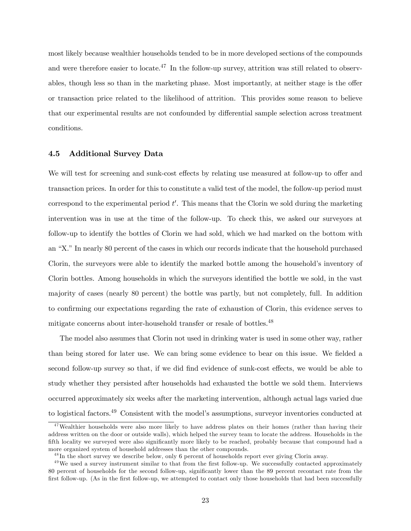most likely because wealthier households tended to be in more developed sections of the compounds and were therefore easier to locate.<sup>47</sup> In the follow-up survey, attrition was still related to observables, though less so than in the marketing phase. Most importantly, at neither stage is the offer or transaction price related to the likelihood of attrition. This provides some reason to believe that our experimental results are not confounded by differential sample selection across treatment conditions.

#### 4.5 Additional Survey Data

We will test for screening and sunk-cost effects by relating use measured at follow-up to offer and transaction prices. In order for this to constitute a valid test of the model, the follow-up period must correspond to the experimental period  $t'$ . This means that the Clorin we sold during the marketing intervention was in use at the time of the follow-up. To check this, we asked our surveyors at follow-up to identify the bottles of Clorin we had sold, which we had marked on the bottom with an "X." In nearly 80 percent of the cases in which our records indicate that the household purchased Clorin, the surveyors were able to identify the marked bottle among the household's inventory of Clorin bottles. Among households in which the surveyors identified the bottle we sold, in the vast majority of cases (nearly 80 percent) the bottle was partly, but not completely, full. In addition to confirming our expectations regarding the rate of exhaustion of Clorin, this evidence serves to mitigate concerns about inter-household transfer or resale of bottles.<sup>48</sup>

The model also assumes that Clorin not used in drinking water is used in some other way, rather than being stored for later use. We can bring some evidence to bear on this issue. We fielded a second follow-up survey so that, if we did find evidence of sunk-cost effects, we would be able to study whether they persisted after households had exhausted the bottle we sold them. Interviews occurred approximately six weeks after the marketing intervention, although actual lags varied due to logistical factors.<sup>49</sup> Consistent with the model's assumptions, surveyor inventories conducted at

<sup>&</sup>lt;sup>47</sup>Wealthier households were also more likely to have address plates on their homes (rather than having their address written on the door or outside walls), which helped the survey team to locate the address. Households in the fifth locality we surveyed were also significantly more likely to be reached, probably because that compound had a more organized system of household addresses than the other compounds.

<sup>&</sup>lt;sup>48</sup>In the short survey we describe below, only 6 percent of households report ever giving Clorin away.

 $49$  We used a survey instrument similar to that from the first follow-up. We successfully contacted approximately 80 percent of households for the second follow-up, significantly lower than the 89 percent recontact rate from the Örst follow-up. (As in the Örst follow-up, we attempted to contact only those households that had been successfully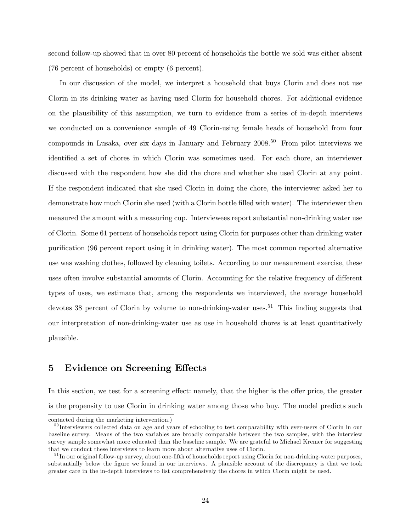second follow-up showed that in over 80 percent of households the bottle we sold was either absent (76 percent of households) or empty (6 percent).

In our discussion of the model, we interpret a household that buys Clorin and does not use Clorin in its drinking water as having used Clorin for household chores. For additional evidence on the plausibility of this assumption, we turn to evidence from a series of in-depth interviews we conducted on a convenience sample of 49 Clorin-using female heads of household from four compounds in Lusaka, over six days in January and February  $2008^{50}$  From pilot interviews we identified a set of chores in which Clorin was sometimes used. For each chore, an interviewer discussed with the respondent how she did the chore and whether she used Clorin at any point. If the respondent indicated that she used Clorin in doing the chore, the interviewer asked her to demonstrate how much Clorin she used (with a Clorin bottle filled with water). The interviewer then measured the amount with a measuring cup. Interviewees report substantial non-drinking water use of Clorin. Some 61 percent of households report using Clorin for purposes other than drinking water purification (96 percent report using it in drinking water). The most common reported alternative use was washing clothes, followed by cleaning toilets. According to our measurement exercise, these uses often involve substantial amounts of Clorin. Accounting for the relative frequency of different types of uses, we estimate that, among the respondents we interviewed, the average household devotes 38 percent of Clorin by volume to non-drinking-water uses.<sup>51</sup> This finding suggests that our interpretation of non-drinking-water use as use in household chores is at least quantitatively plausible.

# 5 Evidence on Screening Effects

In this section, we test for a screening effect: namely, that the higher is the offer price, the greater is the propensity to use Clorin in drinking water among those who buy. The model predicts such

contacted during the marketing intervention.)

 $50$  Interviewers collected data on age and years of schooling to test comparability with ever-users of Clorin in our baseline survey. Means of the two variables are broadly comparable between the two samples, with the interview survey sample somewhat more educated than the baseline sample. We are grateful to Michael Kremer for suggesting that we conduct these interviews to learn more about alternative uses of Clorin.

 $51$  In our original follow-up survey, about one-fifth of households report using Clorin for non-drinking-water purposes, substantially below the figure we found in our interviews. A plausible account of the discrepancy is that we took greater care in the in-depth interviews to list comprehensively the chores in which Clorin might be used.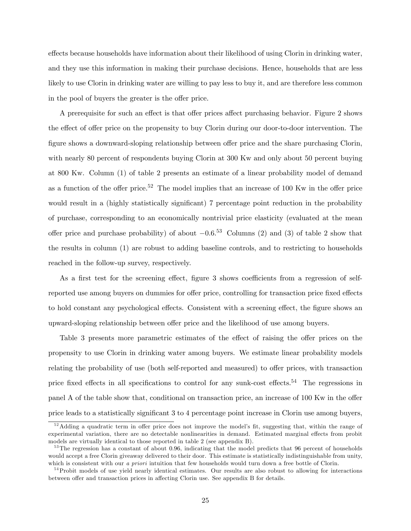effects because households have information about their likelihood of using Clorin in drinking water, and they use this information in making their purchase decisions. Hence, households that are less likely to use Clorin in drinking water are willing to pay less to buy it, and are therefore less common in the pool of buyers the greater is the offer price.

A prerequisite for such an effect is that offer prices affect purchasing behavior. Figure 2 shows the effect of offer price on the propensity to buy Clorin during our door-to-door intervention. The figure shows a downward-sloping relationship between offer price and the share purchasing Clorin, with nearly 80 percent of respondents buying Clorin at 300 Kw and only about 50 percent buying at 800 Kw. Column (1) of table 2 presents an estimate of a linear probability model of demand as a function of the offer price.<sup>52</sup> The model implies that an increase of 100 Kw in the offer price would result in a (highly statistically significant) 7 percentage point reduction in the probability of purchase, corresponding to an economically nontrivial price elasticity (evaluated at the mean offer price and purchase probability) of about  $-0.6^{53}$  Columns (2) and (3) of table 2 show that the results in column (1) are robust to adding baseline controls, and to restricting to households reached in the follow-up survey, respectively.

As a first test for the screening effect, figure 3 shows coefficients from a regression of selfreported use among buyers on dummies for offer price, controlling for transaction price fixed effects to hold constant any psychological effects. Consistent with a screening effect, the figure shows an upward-sloping relationship between offer price and the likelihood of use among buyers.

Table 3 presents more parametric estimates of the effect of raising the offer prices on the propensity to use Clorin in drinking water among buyers. We estimate linear probability models relating the probability of use (both self-reported and measured) to offer prices, with transaction price fixed effects in all specifications to control for any sunk-cost effects.<sup>54</sup> The regressions in panel A of the table show that, conditional on transaction price, an increase of 100 Kw in the offer price leads to a statistically significant 3 to 4 percentage point increase in Clorin use among buyers,

 $52$  Adding a quadratic term in offer price does not improve the model's fit, suggesting that, within the range of experimental variation, there are no detectable nonlinearities in demand. Estimated marginal effects from probit models are virtually identical to those reported in table 2 (see appendix B).

 $53$ The regression has a constant of about 0.96, indicating that the model predicts that 96 percent of households would accept a free Clorin giveaway delivered to their door. This estimate is statistically indistinguishable from unity, which is consistent with our *a priori* intuition that few households would turn down a free bottle of Clorin.

 $54$ Probit models of use yield nearly identical estimates. Our results are also robust to allowing for interactions between offer and transaction prices in affecting Clorin use. See appendix B for details.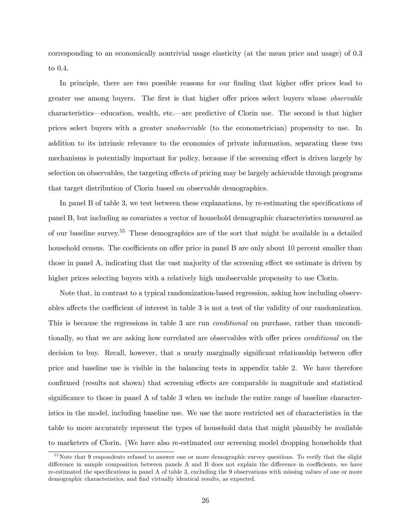corresponding to an economically nontrivial usage elasticity (at the mean price and usage) of 0:3 to 0.4.

In principle, there are two possible reasons for our finding that higher offer prices lead to greater use among buyers. The first is that higher offer prices select buyers whose *observable* characteristics—education, wealth, etc.—are predictive of Clorin use. The second is that higher prices select buyers with a greater unobservable (to the econometrician) propensity to use. In addition to its intrinsic relevance to the economics of private information, separating these two mechanisms is potentially important for policy, because if the screening effect is driven largely by selection on observables, the targeting effects of pricing may be largely achievable through programs that target distribution of Clorin based on observable demographics.

In panel B of table 3, we test between these explanations, by re-estimating the specifications of panel B, but including as covariates a vector of household demographic characteristics measured as of our baseline survey.<sup>55</sup> These demographics are of the sort that might be available in a detailed household census. The coefficients on offer price in panel B are only about 10 percent smaller than those in panel A, indicating that the vast majority of the screening effect we estimate is driven by higher prices selecting buyers with a relatively high unobservable propensity to use Clorin.

Note that, in contrast to a typical randomization-based regression, asking how including observables affects the coefficient of interest in table 3 is not a test of the validity of our randomization. This is because the regressions in table 3 are run *conditional* on purchase, rather than unconditionally, so that we are asking how correlated are observables with offer prices *conditional* on the decision to buy. Recall, however, that a nearly marginally significant relationship between offer price and baseline use is visible in the balancing tests in appendix table 2. We have therefore confirmed (results not shown) that screening effects are comparable in magnitude and statistical significance to those in panel A of table  $3$  when we include the entire range of baseline characteristics in the model, including baseline use. We use the more restricted set of characteristics in the table to more accurately represent the types of household data that might plausibly be available to marketers of Clorin. (We have also re-estimated our screening model dropping households that

 $55$  Note that 9 respondents refused to answer one or more demographic survey questions. To verify that the slight difference in sample composition between panels A and B does not explain the difference in coefficients, we have re-estimated the specifications in panel A of table 3, excluding the 9 observations with missing values of one or more demographic characteristics, and find virtually identical results, as expected.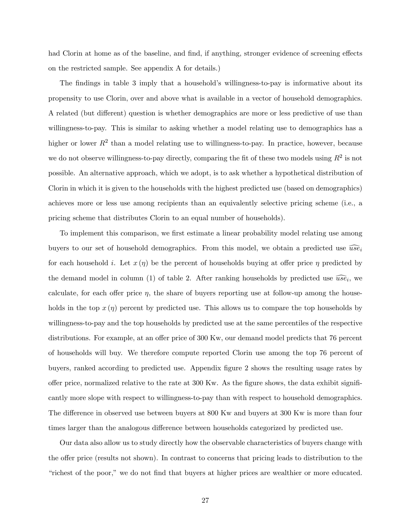had Clorin at home as of the baseline, and find, if anything, stronger evidence of screening effects on the restricted sample. See appendix A for details.)

The findings in table 3 imply that a household's willingness-to-pay is informative about its propensity to use Clorin, over and above what is available in a vector of household demographics. A related (but different) question is whether demographics are more or less predictive of use than willingness-to-pay. This is similar to asking whether a model relating use to demographics has a higher or lower  $R^2$  than a model relating use to willingness-to-pay. In practice, however, because we do not observe willingness-to-pay directly, comparing the fit of these two models using  $R^2$  is not possible. An alternative approach, which we adopt, is to ask whether a hypothetical distribution of Clorin in which it is given to the households with the highest predicted use (based on demographics) achieves more or less use among recipients than an equivalently selective pricing scheme (i.e., a pricing scheme that distributes Clorin to an equal number of households).

To implement this comparison, we first estimate a linear probability model relating use among buyers to our set of household demographics. From this model, we obtain a predicted use  $\widehat{use}_i$ for each household i. Let  $x(\eta)$  be the percent of households buying at offer price  $\eta$  predicted by the demand model in column (1) of table 2. After ranking households by predicted use  $\widehat{use}_i$ , we calculate, for each offer price  $\eta$ , the share of buyers reporting use at follow-up among the households in the top  $x(\eta)$  percent by predicted use. This allows us to compare the top households by willingness-to-pay and the top households by predicted use at the same percentiles of the respective distributions. For example, at an offer price of 300 Kw, our demand model predicts that 76 percent of households will buy. We therefore compute reported Clorin use among the top 76 percent of buyers, ranked according to predicted use. Appendix Ögure 2 shows the resulting usage rates by offer price, normalized relative to the rate at  $300 \text{ Kw}$ . As the figure shows, the data exhibit significantly more slope with respect to willingness-to-pay than with respect to household demographics. The difference in observed use between buyers at 800 Kw and buyers at 300 Kw is more than four times larger than the analogous difference between households categorized by predicted use.

Our data also allow us to study directly how the observable characteristics of buyers change with the offer price (results not shown). In contrast to concerns that pricing leads to distribution to the "richest of the poor," we do not find that buyers at higher prices are wealthier or more educated.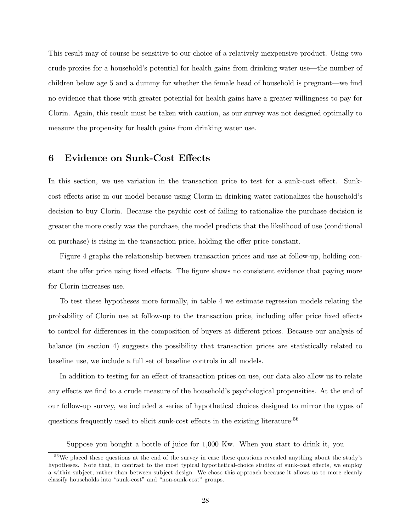This result may of course be sensitive to our choice of a relatively inexpensive product. Using two crude proxies for a household's potential for health gains from drinking water use—the number of children below age 5 and a dummy for whether the female head of household is pregnant—we find no evidence that those with greater potential for health gains have a greater willingness-to-pay for Clorin. Again, this result must be taken with caution, as our survey was not designed optimally to measure the propensity for health gains from drinking water use.

### 6 Evidence on Sunk-Cost Effects

In this section, we use variation in the transaction price to test for a sunk-cost effect. Sunkcost effects arise in our model because using Clorin in drinking water rationalizes the household's decision to buy Clorin. Because the psychic cost of failing to rationalize the purchase decision is greater the more costly was the purchase, the model predicts that the likelihood of use (conditional on purchase) is rising in the transaction price, holding the offer price constant.

Figure 4 graphs the relationship between transaction prices and use at follow-up, holding constant the offer price using fixed effects. The figure shows no consistent evidence that paying more for Clorin increases use.

To test these hypotheses more formally, in table 4 we estimate regression models relating the probability of Clorin use at follow-up to the transaction price, including offer price fixed effects to control for differences in the composition of buyers at different prices. Because our analysis of balance (in section 4) suggests the possibility that transaction prices are statistically related to baseline use, we include a full set of baseline controls in all models.

In addition to testing for an effect of transaction prices on use, our data also allow us to relate any effects we find to a crude measure of the household's psychological propensities. At the end of our follow-up survey, we included a series of hypothetical choices designed to mirror the types of questions frequently used to elicit sunk-cost effects in the existing literature: $56$ 

Suppose you bought a bottle of juice for 1,000 Kw. When you start to drink it, you

 $56$ We placed these questions at the end of the survey in case these questions revealed anything about the study's hypotheses. Note that, in contrast to the most typical hypothetical-choice studies of sunk-cost effects, we employ a within-subject, rather than between-subject design. We chose this approach because it allows us to more cleanly classify households into "sunk-cost" and "non-sunk-cost" groups.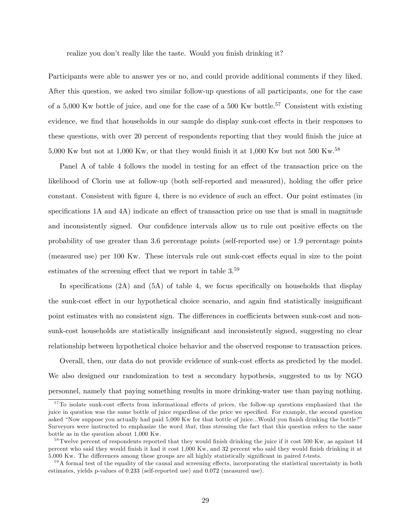realize you don't really like the taste. Would you finish drinking it?

Participants were able to answer yes or no, and could provide additional comments if they liked. After this question, we asked two similar follow-up questions of all participants, one for the case of a 5,000 Kw bottle of juice, and one for the case of a 500 Kw bottle.<sup>57</sup> Consistent with existing evidence, we find that households in our sample do display sunk-cost effects in their responses to these questions, with over 20 percent of respondents reporting that they would finish the juice at 5,000 Kw but not at 1,000 Kw, or that they would finish it at 1,000 Kw but not 500 Kw.<sup>58</sup>

Panel A of table 4 follows the model in testing for an effect of the transaction price on the likelihood of Clorin use at follow-up (both self-reported and measured), holding the offer price constant. Consistent with figure 4, there is no evidence of such an effect. Our point estimates (in specifications  $1A$  and  $4A$ ) indicate an effect of transaction price on use that is small in magnitude and inconsistently signed. Our confidence intervals allow us to rule out positive effects on the probability of use greater than 3:6 percentage points (self-reported use) or 1:9 percentage points (measured use) per 100 Kw. These intervals rule out sunk-cost effects equal in size to the point estimates of the screening effect that we report in table  $3.59$ 

In specifications  $(2A)$  and  $(5A)$  of table 4, we focus specifically on households that display the sunk-cost effect in our hypothetical choice scenario, and again find statistically insignificant point estimates with no consistent sign. The differences in coefficients between sunk-cost and nonsunk-cost households are statistically insignificant and inconsistently signed, suggesting no clear relationship between hypothetical choice behavior and the observed response to transaction prices.

Overall, then, our data do not provide evidence of sunk-cost effects as predicted by the model. We also designed our randomization to test a secondary hypothesis, suggested to us by NGO personnel, namely that paying something results in more drinking-water use than paying nothing.

 $57$ To isolate sunk-cost effects from informational effects of prices, the follow-up questions emphasized that the juice in question was the same bottle of juice regardless of the price we specified. For example, the second question asked "Now suppose you actually had paid 5,000 Kw for that bottle of juice...Would you finish drinking the bottle?" Surveyors were instructed to emphasize the word that, thus stressing the fact that this question refers to the same bottle as in the question about 1,000 Kw.

 $58$ Twelve percent of respondents reported that they would finish drinking the juice if it cost 500 Kw, as against 14 percent who said they would Önish it had it cost 1,000 Kw, and 32 percent who said they would Önish drinking it at 5,000 Kw. The differences among these groups are all highly statistically significant in paired  $t$ -tests.

 $59$ A formal test of the equality of the causal and screening effects, incorporating the statistical uncertainty in both estimates, yields p-values of 0:233 (self-reported use) and 0:072 (measured use).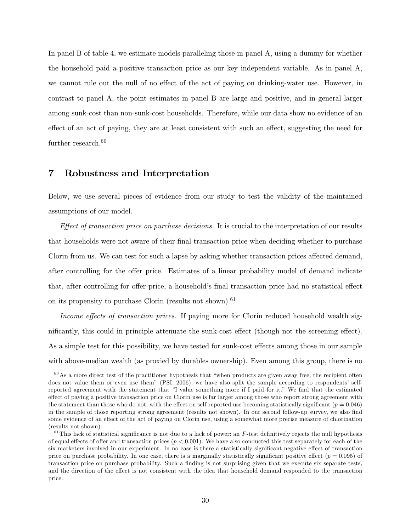In panel B of table 4, we estimate models paralleling those in panel A, using a dummy for whether the household paid a positive transaction price as our key independent variable. As in panel A, we cannot rule out the null of no effect of the act of paying on drinking-water use. However, in contrast to panel A, the point estimates in panel B are large and positive, and in general larger among sunk-cost than non-sunk-cost households. Therefore, while our data show no evidence of an effect of an act of paying, they are at least consistent with such an effect, suggesting the need for further research.<sup>60</sup>

### 7 Robustness and Interpretation

Below, we use several pieces of evidence from our study to test the validity of the maintained assumptions of our model.

*Effect of transaction price on purchase decisions.* It is crucial to the interpretation of our results that households were not aware of their final transaction price when deciding whether to purchase Clorin from us. We can test for such a lapse by asking whether transaction prices affected demand, after controlling for the offer price. Estimates of a linear probability model of demand indicate that, after controlling for offer price, a household's final transaction price had no statistical effect on its propensity to purchase Clorin (results not shown).<sup>61</sup>

Income effects of transaction prices. If paying more for Clorin reduced household wealth significantly, this could in principle attenuate the sunk-cost effect (though not the screening effect). As a simple test for this possibility, we have tested for sunk-cost effects among those in our sample with above-median wealth (as proxied by durables ownership). Even among this group, there is no

 $60$ As a more direct test of the practitioner hypothesis that "when products are given away free, the recipient often does not value them or even use them" (PSI, 2006), we have also split the sample according to respondents' selfreported agreement with the statement that "I value something more if I paid for it." We find that the estimated effect of paying a positive transaction price on Clorin use is far larger among those who report strong agreement with the statement than those who do not, with the effect on self-reported use becoming statistically significant ( $p = 0.046$ ) in the sample of those reporting strong agreement (results not shown). In our second follow-up survey, we also find some evidence of an effect of the act of paying on Clorin use, using a somewhat more precise measure of chlorination (results not shown).

 $61$ This lack of statistical significance is not due to a lack of power: an F-test definitively rejects the null hypothesis of equal effects of offer and transaction prices  $(p < 0.001)$ . We have also conducted this test separately for each of the six marketers involved in our experiment. In no case is there a statistically significant negative effect of transaction price on purchase probability. In one case, there is a marginally statistically significant positive effect  $(p = 0.095)$  of transaction price on purchase probability. Such a finding is not surprising given that we execute six separate tests, and the direction of the effect is not consistent with the idea that household demand responded to the transaction price.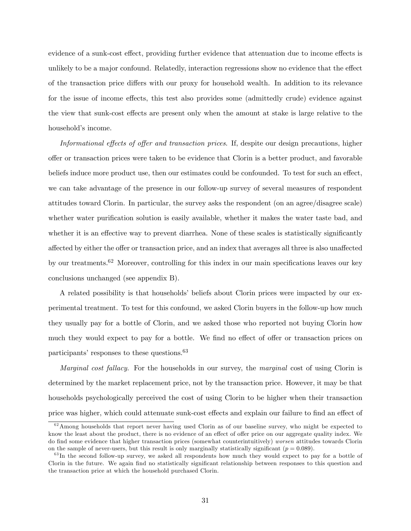evidence of a sunk-cost effect, providing further evidence that attenuation due to income effects is unlikely to be a major confound. Relatedly, interaction regressions show no evidence that the effect of the transaction price differs with our proxy for household wealth. In addition to its relevance for the issue of income effects, this test also provides some (admittedly crude) evidence against the view that sunk-cost effects are present only when the amount at stake is large relative to the household's income.

Informational effects of offer and transaction prices. If, despite our design precautions, higher o§er or transaction prices were taken to be evidence that Clorin is a better product, and favorable beliefs induce more product use, then our estimates could be confounded. To test for such an effect, we can take advantage of the presence in our follow-up survey of several measures of respondent attitudes toward Clorin. In particular, the survey asks the respondent (on an agree/disagree scale) whether water purification solution is easily available, whether it makes the water taste bad, and whether it is an effective way to prevent diarrhea. None of these scales is statistically significantly affected by either the offer or transaction price, and an index that averages all three is also unaffected by our treatments.<sup>62</sup> Moreover, controlling for this index in our main specifications leaves our key conclusions unchanged (see appendix B).

A related possibility is that households beliefs about Clorin prices were impacted by our experimental treatment. To test for this confound, we asked Clorin buyers in the follow-up how much they usually pay for a bottle of Clorin, and we asked those who reported not buying Clorin how much they would expect to pay for a bottle. We find no effect of offer or transaction prices on participants' responses to these questions.<sup>63</sup>

Marginal cost fallacy. For the households in our survey, the marginal cost of using Clorin is determined by the market replacement price, not by the transaction price. However, it may be that households psychologically perceived the cost of using Clorin to be higher when their transaction price was higher, which could attenuate sunk-cost effects and explain our failure to find an effect of

 $62$  Among households that report never having used Clorin as of our baseline survey, who might be expected to know the least about the product, there is no evidence of an effect of offer price on our aggregate quality index. We do Önd some evidence that higher transaction prices (somewhat counterintuitively) worsen attitudes towards Clorin on the sample of never-users, but this result is only marginally statistically significant ( $p = 0.089$ ).

 $^{63}$ In the second follow-up survey, we asked all respondents how much they would expect to pay for a bottle of Clorin in the future. We again find no statistically significant relationship between responses to this question and the transaction price at which the household purchased Clorin.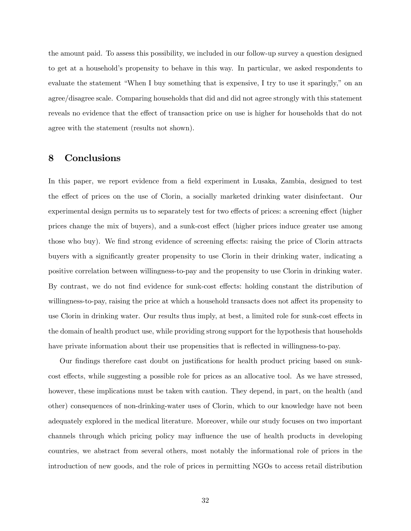the amount paid. To assess this possibility, we included in our follow-up survey a question designed to get at a householdís propensity to behave in this way. In particular, we asked respondents to evaluate the statement "When I buy something that is expensive, I try to use it sparingly," on an agree/disagree scale. Comparing households that did and did not agree strongly with this statement reveals no evidence that the effect of transaction price on use is higher for households that do not agree with the statement (results not shown).

## 8 Conclusions

In this paper, we report evidence from a field experiment in Lusaka, Zambia, designed to test the effect of prices on the use of Clorin, a socially marketed drinking water disinfectant. Our experimental design permits us to separately test for two effects of prices: a screening effect (higher prices change the mix of buyers), and a sunk-cost effect (higher prices induce greater use among those who buy). We find strong evidence of screening effects: raising the price of Clorin attracts buyers with a significantly greater propensity to use Clorin in their drinking water, indicating a positive correlation between willingness-to-pay and the propensity to use Clorin in drinking water. By contrast, we do not find evidence for sunk-cost effects: holding constant the distribution of willingness-to-pay, raising the price at which a household transacts does not affect its propensity to use Clorin in drinking water. Our results thus imply, at best, a limited role for sunk-cost effects in the domain of health product use, while providing strong support for the hypothesis that households have private information about their use propensities that is reflected in willingness-to-pay.

Our findings therefore cast doubt on justifications for health product pricing based on sunkcost effects, while suggesting a possible role for prices as an allocative tool. As we have stressed, however, these implications must be taken with caution. They depend, in part, on the health (and other) consequences of non-drinking-water uses of Clorin, which to our knowledge have not been adequately explored in the medical literature. Moreover, while our study focuses on two important channels through which pricing policy may ináuence the use of health products in developing countries, we abstract from several others, most notably the informational role of prices in the introduction of new goods, and the role of prices in permitting NGOs to access retail distribution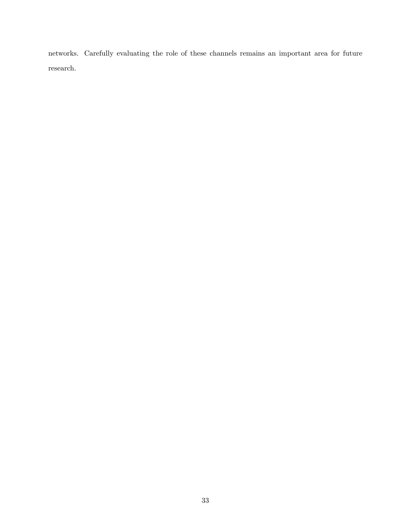networks. Carefully evaluating the role of these channels remains an important area for future research.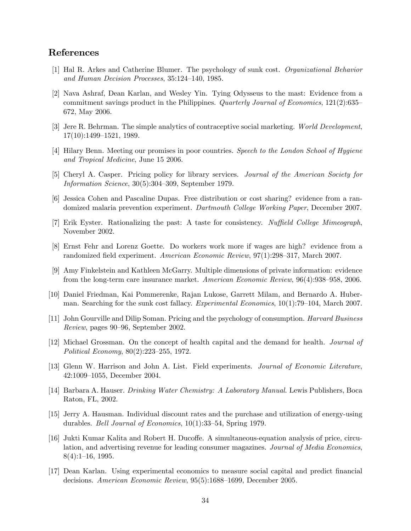# References

- [1] Hal R. Arkes and Catherine Blumer. The psychology of sunk cost. Organizational Behavior and Human Decision Processes,  $35:124-140$ , 1985.
- [2] Nava Ashraf, Dean Karlan, and Wesley Yin. Tying Odysseus to the mast: Evidence from a commitment savings product in the Philippines. Quarterly Journal of Economics,  $121(2):635$ 672, May 2006.
- [3] Jere R. Behrman. The simple analytics of contraceptive social marketing. World Development,  $17(10):1499-1521, 1989.$
- [4] Hilary Benn. Meeting our promises in poor countries. Speech to the London School of Hygiene and Tropical Medicine, June 15 2006.
- [5] Cheryl A. Casper. Pricing policy for library services. Journal of the American Society for Information Science,  $30(5):304-309$ , September 1979.
- [6] Jessica Cohen and Pascaline Dupas. Free distribution or cost sharing? evidence from a randomized malaria prevention experiment. Dartmouth College Working Paper, December 2007.
- [7] Erik Eyster. Rationalizing the past: A taste for consistency. Nuffield College Mimeograph, November 2002.
- [8] Ernst Fehr and Lorenz Goette. Do workers work more if wages are high? evidence from a randomized field experiment. American Economic Review, 97(1):298–317, March 2007.
- [9] Amy Finkelstein and Kathleen McGarry. Multiple dimensions of private information: evidence from the long-term care insurance market. American Economic Review, 96(4):938–958, 2006.
- [10] Daniel Friedman, Kai Pommerenke, Rajan Lukose, Garrett Milam, and Bernardo A. Huberman. Searching for the sunk cost fallacy. Experimental Economics,  $10(1)$ :79–104, March 2007.
- [11] John Gourville and Dilip Soman. Pricing and the psychology of consumption. Harvard Business Review, pages 90–96, September 2002.
- [12] Michael Grossman. On the concept of health capital and the demand for health. Journal of Political Economy,  $80(2):223-255$ , 1972.
- [13] Glenn W. Harrison and John A. List. Field experiments. Journal of Economic Literature, 42:1009-1055, December 2004.
- [14] Barbara A. Hauser. Drinking Water Chemistry: A Laboratory Manual. Lewis Publishers, Boca Raton, FL, 2002.
- [15] Jerry A. Hausman. Individual discount rates and the purchase and utilization of energy-using durables. *Bell Journal of Economics*,  $10(1):33-54$ , Spring 1979.
- [16] Jukti Kumar Kalita and Robert H. Ducoffe. A simultaneous-equation analysis of price, circulation, and advertising revenue for leading consumer magazines. Journal of Media Economics,  $8(4):1-16, 1995.$
- [17] Dean Karlan. Using experimental economics to measure social capital and predict Önancial decisions. American Economic Review, 95(5):1688–1699, December 2005.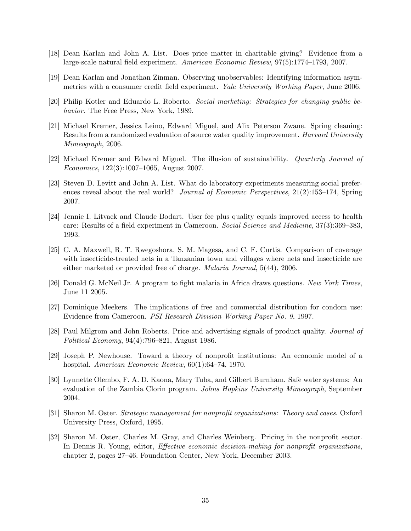- [18] Dean Karlan and John A. List. Does price matter in charitable giving? Evidence from a large-scale natural field experiment. American Economic Review, 97(5):1774-1793, 2007.
- [19] Dean Karlan and Jonathan Zinman. Observing unobservables: Identifying information asymmetries with a consumer credit field experiment. Yale University Working Paper, June 2006.
- [20] Philip Kotler and Eduardo L. Roberto. Social marketing: Strategies for changing public behavior. The Free Press, New York, 1989.
- [21] Michael Kremer, Jessica Leino, Edward Miguel, and Alix Peterson Zwane. Spring cleaning: Results from a randomized evaluation of source water quality improvement. *Harvard University* Mimeograph, 2006.
- [22] Michael Kremer and Edward Miguel. The illusion of sustainability. Quarterly Journal of Economics,  $122(3):1007-1065$ , August 2007.
- [23] Steven D. Levitt and John A. List. What do laboratory experiments measuring social preferences reveal about the real world? Journal of Economic Perspectives,  $21(2):153-174$ , Spring 2007.
- [24] Jennie I. Litvack and Claude Bodart. User fee plus quality equals improved access to health care: Results of a field experiment in Cameroon. Social Science and Medicine, 37(3):369–383, 1993.
- [25] C. A. Maxwell, R. T. Rwegoshora, S. M. Magesa, and C. F. Curtis. Comparison of coverage with insecticide-treated nets in a Tanzanian town and villages where nets and insecticide are either marketed or provided free of charge. Malaria Journal, 5(44), 2006.
- [26] Donald G. McNeil Jr. A program to fight malaria in Africa draws questions. New York Times, June 11 2005.
- [27] Dominique Meekers. The implications of free and commercial distribution for condom use: Evidence from Cameroon. PSI Research Division Working Paper No. 9, 1997.
- [28] Paul Milgrom and John Roberts. Price and advertising signals of product quality. Journal of Political Economy,  $94(4)$ :796–821, August 1986.
- [29] Joseph P. Newhouse. Toward a theory of nonprofit institutions: An economic model of a hospital. American Economic Review,  $60(1):64-74$ , 1970.
- [30] Lynnette Olembo, F. A. D. Kaona, Mary Tuba, and Gilbert Burnham. Safe water systems: An evaluation of the Zambia Clorin program. Johns Hopkins University Mimeograph, September 2004.
- [31] Sharon M. Oster. Strategic management for nonprofit organizations: Theory and cases. Oxford University Press, Oxford, 1995.
- [32] Sharon M. Oster, Charles M. Gray, and Charles Weinberg. Pricing in the nonprofit sector. In Dennis R. Young, editor, *Effective economic decision-making for nonprofit organizations*, chapter 2, pages 27–46. Foundation Center, New York, December 2003.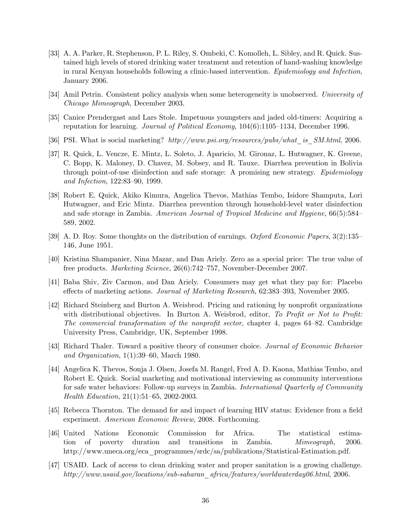- [33] A. A. Parker, R. Stephenson, P. L. Riley, S. Ombeki, C. Komolleh, L. Sibley, and R. Quick. Sustained high levels of stored drinking water treatment and retention of hand-washing knowledge in rural Kenyan households following a clinic-based intervention. Epidemiology and Infection, January 2006.
- [34] Amil Petrin. Consistent policy analysis when some heterogeneity is unobserved. University of Chicago Mimeograph, December 2003.
- [35] Canice Prendergast and Lars Stole. Impetuous youngsters and jaded old-timers: Acquiring a reputation for learning. Journal of Political Economy,  $104(6)$ :1105–1134, December 1996.
- [36] PSI. What is social marketing? http://www.psi.org/resources/pubs/what\_is\_SM.html, 2006.
- [37] R. Quick, L. Vencze, E. Mintz, L. Soleto, J. Aparicio, M. Gironaz, L. Hutwagner, K. Greene, C. Bopp, K. Maloney, D. Chavez, M. Sobsey, and R. Tauxe. Diarrhea prevention in Bolivia through point-of-use disinfection and safe storage: A promising new strategy. Epidemiology and Infection, 122:83-90, 1999.
- [38] Robert E. Quick, Akiko Kimura, Angelica Thevos, Mathias Tembo, Isidore Shamputa, Lori Hutwagner, and Eric Mintz. Diarrhea prevention through household-level water disinfection and safe storage in Zambia. American Journal of Tropical Medicine and Hygiene,  $66(5):584$ <sup>n</sup> 589, 2002.
- [39] A. D. Roy. Some thoughts on the distribution of earnings. Oxford Economic Papers,  $3(2)$ :135– 146, June 1951.
- [40] Kristina Shampanier, Nina Mazar, and Dan Ariely. Zero as a special price: The true value of free products. *Marketing Science*, 26(6):742–757, November-December 2007.
- [41] Baba Shiv, Ziv Carmon, and Dan Ariely. Consumers may get what they pay for: Placebo effects of marketing actions. *Journal of Marketing Research*, 62:383–393, November 2005.
- [42] Richard Steinberg and Burton A. Weisbrod. Pricing and rationing by nonprofit organizations with distributional objectives. In Burton A. Weisbrod, editor, To Profit or Not to Profit: The commercial transformation of the nonprofit sector, chapter 4, pages  $64-82$ . Cambridge University Press, Cambridge, UK, September 1998.
- [43] Richard Thaler. Toward a positive theory of consumer choice. Journal of Economic Behavior and Organization,  $1(1):39-60$ , March 1980.
- [44] Angelica K. Thevos, Sonja J. Olsen, Josefa M. Rangel, Fred A. D. Kaona, Mathias Tembo, and Robert E. Quick. Social marketing and motivational interviewing as community interventions for safe water behaviors: Follow-up surveys in Zambia. International Quarterly of Community Health Education,  $21(1):51-65$ ,  $2002-2003$ .
- [45] Rebecca Thornton. The demand for and impact of learning HIV status: Evidence from a field experiment. American Economic Review, 2008. Forthcoming.
- [46] United Nations Economic Commission for Africa. The statistical estimation of poverty duration and transitions in Zambia. Mimeograph, 2006. http://www.uneca.org/eca\_programmes/srdc/sa/publications/Statistical-Estimation.pdf.
- [47] USAID. Lack of access to clean drinking water and proper sanitation is a growing challenge. http://www.usaid.gov/locations/sub-saharan\_africa/features/worldwaterday06.html, 2006.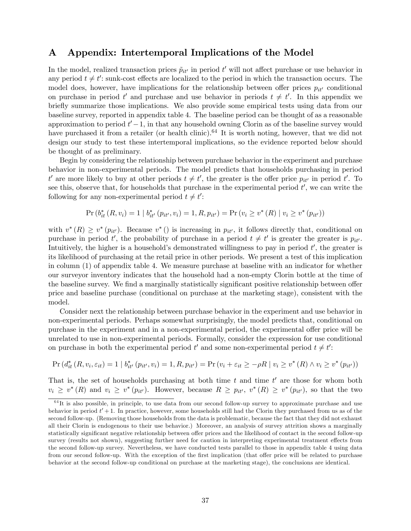## A Appendix: Intertemporal Implications of the Model

In the model, realized transaction prices  $\tilde{p}_{it'}$  in period  $t'$  will not affect purchase or use behavior in any period  $t \neq t'$ : sunk-cost effects are localized to the period in which the transaction occurs. The model does, however, have implications for the relationship between offer prices  $p_{it'}$  conditional on purchase in period  $t'$  and purchase and use behavior in periods  $t \neq t'$ . In this appendix we briefly summarize those implications. We also provide some empirical tests using data from our baseline survey, reported in appendix table 4. The baseline period can be thought of as a reasonable approximation to period  $t'-1$ , in that any household owning Clorin as of the baseline survey would have purchased it from a retailer (or health clinic).<sup>64</sup> It is worth noting, however, that we did not design our study to test these intertemporal implications, so the evidence reported below should be thought of as preliminary.

Begin by considering the relationship between purchase behavior in the experiment and purchase behavior in non-experimental periods. The model predicts that households purchasing in period  $t'$  are more likely to buy at other periods  $t \neq t'$ , the greater is the offer price  $p_{it'}$  in period  $t'$ . To see this, observe that, for households that purchase in the experimental period  $t'$ , we can write the following for any non-experimental period  $t \neq t'$ :

$$
Pr(b_{it}^{*}(R, v_{i}) = 1 | b_{it'}^{*}(p_{it'}, v_{i}) = 1, R, p_{it'}) = Pr(v_{i} \ge v^{*}(R) | v_{i} \ge v^{*}(p_{it'}))
$$

with  $v^*(R) \geq v^*(p_{it'})$ . Because  $v^*(t)$  is increasing in  $p_{it'}$ , it follows directly that, conditional on purchase in period  $t'$ , the probability of purchase in a period  $t \neq t'$  is greater the greater is  $p_{it'}$ . Intuitively, the higher is a household's demonstrated willingness to pay in period  $t'$ , the greater is its likelihood of purchasing at the retail price in other periods. We present a test of this implication in column (1) of appendix table 4. We measure purchase at baseline with an indicator for whether our surveyor inventory indicates that the household had a non-empty Clorin bottle at the time of the baseline survey. We find a marginally statistically significant positive relationship between offer price and baseline purchase (conditional on purchase at the marketing stage), consistent with the model.

Consider next the relationship between purchase behavior in the experiment and use behavior in non-experimental periods. Perhaps somewhat surprisingly, the model predicts that, conditional on purchase in the experiment and in a non-experimental period, the experimental offer price will be unrelated to use in non-experimental periods. Formally, consider the expression for use conditional on purchase in both the experimental period  $t'$  and some non-experimental period  $t \neq t'$ :

$$
\Pr\left(d_{it}^{*}\left(R, v_{i}, \varepsilon_{it}\right) = 1 \mid b_{it'}^{*}\left(p_{it'}, v_{i}\right) = 1, R, p_{it'}\right) = \Pr\left(v_{i} + \varepsilon_{it} \ge -\rho R \mid v_{i} \ge v^{*}\left(R\right) \land v_{i} \ge v^{*}\left(p_{it'}\right)\right)
$$

That is, the set of households purchasing at both time  $t$  and time  $t'$  are those for whom both  $v_i \geq v^*(R)$  and  $v_i \geq v^*(p_{it'})$ . However, because  $R \geq p_{it'}$ ,  $v^*(R) \geq v^*(p_{it'})$ , so that the two

 $64$ It is also possible, in principle, to use data from our second follow-up survey to approximate purchase and use behavior in period  $t' + 1$ . In practice, however, some households still had the Clorin they purchased from us as of the second follow-up. (Removing those households from the data is problematic, because the fact that they did not exhaust all their Clorin is endogenous to their use behavior.) Moreover, an analysis of survey attrition shows a marginally statistically significant negative relationship between offer prices and the likelihood of contact in the second follow-up survey (results not shown), suggesting further need for caution in interpreting experimental treatment effects from the second follow-up survey. Nevertheless, we have conducted tests parallel to those in appendix table 4 using data from our second follow-up. With the exception of the first implication (that offer price will be related to purchase behavior at the second follow-up conditional on purchase at the marketing stage), the conclusions are identical.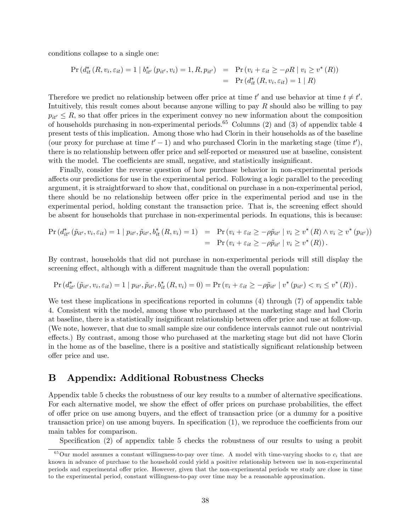conditions collapse to a single one:

$$
Pr(d_{it}^{*}(R, v_{i}, \varepsilon_{it}) = 1 | b_{it'}^{*}(p_{it'}, v_{i}) = 1, R, p_{it'}) = Pr(v_{i} + \varepsilon_{it} \ge -\rho R | v_{i} \ge v^{*}(R))
$$
  
= Pr(d\_{it}^{\*}(R, v\_{i}, \varepsilon\_{it}) = 1 | R)

Therefore we predict no relationship between offer price at time  $t'$  and use behavior at time  $t \neq t'$ . Intuitively, this result comes about because anyone willing to pay R should also be willing to pay  $p_{it'} \leq R$ , so that offer prices in the experiment convey no new information about the composition of households purchasing in non-experimental periods.<sup>65</sup> Columns (2) and (3) of appendix table 4 present tests of this implication. Among those who had Clorin in their households as of the baseline (our proxy for purchase at time  $t' - 1$ ) and who purchased Clorin in the marketing stage (time  $t'$ ), there is no relationship between offer price and self-reported or measured use at baseline, consistent with the model. The coefficients are small, negative, and statistically insignificant.

Finally, consider the reverse question of how purchase behavior in non-experimental periods affects our predictions for use in the experimental period. Following a logic parallel to the preceding argument, it is straightforward to show that, conditional on purchase in a non-experimental period, there should be no relationship between offer price in the experimental period and use in the experimental period, holding constant the transaction price. That is, the screening effect should be absent for households that purchase in non-experimental periods. In equations, this is because:

$$
\Pr\left(d_{it'}^{*}(\tilde{p}_{it'}, v_i, \varepsilon_{it}) = 1 \mid p_{it'}, \tilde{p}_{it'}, b_{it}^{*}(R, v_i) = 1\right) = \Pr\left(v_i + \varepsilon_{it} \ge -\rho \tilde{p}_{it'} \mid v_i \ge v^*(R) \land v_i \ge v^*(p_{it'})\right) \\
= \Pr\left(v_i + \varepsilon_{it} \ge -\rho \tilde{p}_{it'} \mid v_i \ge v^*(R)\right).
$$

By contrast, households that did not purchase in non-experimental periods will still display the screening effect, although with a different magnitude than the overall population:

$$
\Pr\left(d_{it'}^{*}\left(\tilde{p}_{it'}, v_i, \varepsilon_{it}\right) = 1 \mid p_{it'}, \tilde{p}_{it'}, b_{it}^{*}\left(R, v_i\right) = 0\right) = \Pr\left(v_i + \varepsilon_{it} \ge -\rho \tilde{p}_{it'} \mid v^*\left(p_{it'}\right) < v_i \le v^*\left(R\right)\right).
$$

We test these implications in specifications reported in columns  $(4)$  through  $(7)$  of appendix table 4. Consistent with the model, among those who purchased at the marketing stage and had Clorin at baseline, there is a statistically insignificant relationship between offer price and use at follow-up. (We note, however, that due to small sample size our confidence intervals cannot rule out nontrivial effects.) By contrast, among those who purchased at the marketing stage but did not have Clorin in the home as of the baseline, there is a positive and statistically significant relationship between offer price and use.

### B Appendix: Additional Robustness Checks

Appendix table 5 checks the robustness of our key results to a number of alternative specifications. For each alternative model, we show the effect of offer prices on purchase probabilities, the effect of offer price on use among buyers, and the effect of transaction price (or a dummy for a positive transaction price) on use among buyers. In specification  $(1)$ , we reproduce the coefficients from our main tables for comparison.

Specification  $(2)$  of appendix table 5 checks the robustness of our results to using a probit

 $\frac{65}{0}$ ur model assumes a constant willingness-to-pay over time. A model with time-varying shocks to  $c_i$  that are known in advance of purchase to the household could yield a positive relationship between use in non-experimental periods and experimental offer price. However, given that the non-experimental periods we study are close in time to the experimental period, constant willingness-to-pay over time may be a reasonable approximation.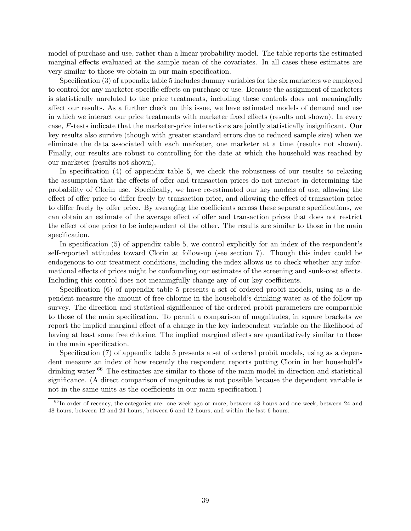model of purchase and use, rather than a linear probability model. The table reports the estimated marginal effects evaluated at the sample mean of the covariates. In all cases these estimates are very similar to those we obtain in our main specification.

Specification  $(3)$  of appendix table 5 includes dummy variables for the six marketers we employed to control for any marketer-specific effects on purchase or use. Because the assignment of marketers is statistically unrelated to the price treatments, including these controls does not meaningfully affect our results. As a further check on this issue, we have estimated models of demand and use in which we interact our price treatments with marketer fixed effects (results not shown). In every case, F-tests indicate that the marketer-price interactions are jointly statistically insignificant. Our key results also survive (though with greater standard errors due to reduced sample size) when we eliminate the data associated with each marketer, one marketer at a time (results not shown). Finally, our results are robust to controlling for the date at which the household was reached by our marketer (results not shown).

In specification  $(4)$  of appendix table 5, we check the robustness of our results to relaxing the assumption that the effects of offer and transaction prices do not interact in determining the probability of Clorin use. Specifically, we have re-estimated our key models of use, allowing the effect of offer price to differ freely by transaction price, and allowing the effect of transaction price to differ freely by offer price. By averaging the coefficients across these separate specifications, we can obtain an estimate of the average effect of offer and transaction prices that does not restrict the effect of one price to be independent of the other. The results are similar to those in the main specification.

In specification  $(5)$  of appendix table 5, we control explicitly for an index of the respondent's self-reported attitudes toward Clorin at follow-up (see section 7). Though this index could be endogenous to our treatment conditions, including the index allows us to check whether any informational effects of prices might be confounding our estimates of the screening and sunk-cost effects. Including this control does not meaningfully change any of our key coefficients.

Specification  $(6)$  of appendix table 5 presents a set of ordered probit models, using as a dependent measure the amount of free chlorine in the household's drinking water as of the follow-up survey. The direction and statistical significance of the ordered probit parameters are comparable to those of the main specification. To permit a comparison of magnitudes, in square brackets we report the implied marginal effect of a change in the key independent variable on the likelihood of having at least some free chlorine. The implied marginal effects are quantitatively similar to those in the main specification.

Specification (7) of appendix table 5 presents a set of ordered probit models, using as a dependent measure an index of how recently the respondent reports putting Clorin in her household's drinking water.<sup>66</sup> The estimates are similar to those of the main model in direction and statistical significance. (A direct comparison of magnitudes is not possible because the dependent variable is not in the same units as the coefficients in our main specification.)

 $66$  In order of recency, the categories are: one week ago or more, between 48 hours and one week, between 24 and 48 hours, between 12 and 24 hours, between 6 and 12 hours, and within the last 6 hours.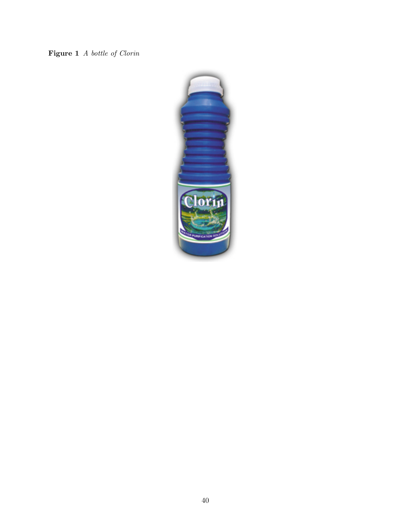Figure 1 A bottle of Clorin

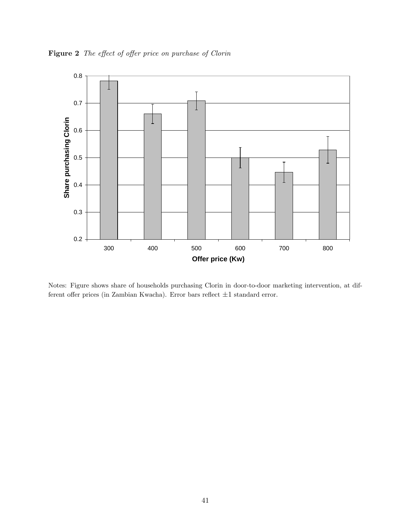Figure 2 The effect of offer price on purchase of Clorin



Notes: Figure shows share of households purchasing Clorin in door-to-door marketing intervention, at different offer prices (in Zambian Kwacha). Error bars reflect  $\pm 1$  standard error.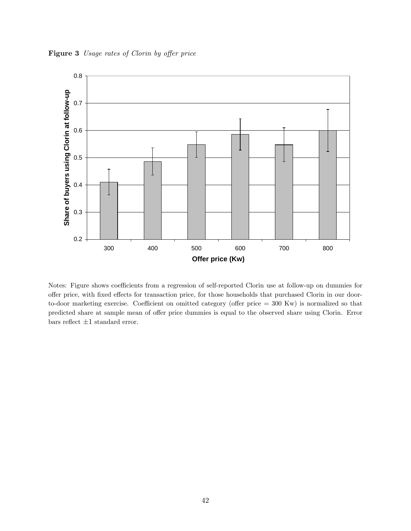Figure 3 Usage rates of Clorin by offer price



Notes: Figure shows coefficients from a regression of self-reported Clorin use at follow-up on dummies for offer price, with fixed effects for transaction price, for those households that purchased Clorin in our doorto-door marketing exercise. Coefficient on omitted category (offer price  $= 300 \text{ Kw}$ ) is normalized so that predicted share at sample mean of offer price dummies is equal to the observed share using Clorin. Error bars reflect  $\pm 1$  standard error.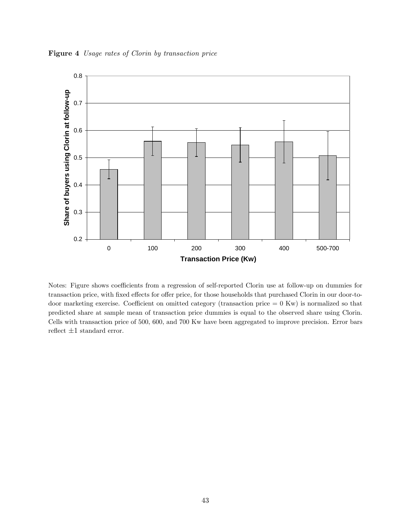Figure 4 Usage rates of Clorin by transaction price



Notes: Figure shows coefficients from a regression of self-reported Clorin use at follow-up on dummies for transaction price, with fixed effects for offer price, for those households that purchased Clorin in our door-todoor marketing exercise. Coefficient on omitted category (transaction price  $= 0$  Kw) is normalized so that predicted share at sample mean of transaction price dummies is equal to the observed share using Clorin. Cells with transaction price of 500, 600, and 700 Kw have been aggregated to improve precision. Error bars reflect  $\pm 1$  standard error.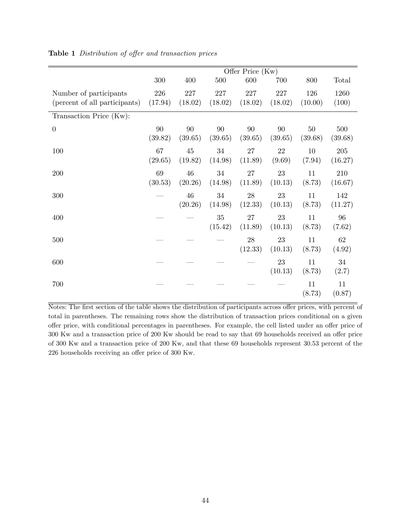|                               | Offer Price (Kw) |         |         |         |         |         |         |
|-------------------------------|------------------|---------|---------|---------|---------|---------|---------|
|                               | 300              | 400     | 500     | 600     | 700     | 800     | Total   |
| Number of participants        | 226              | 227     | 227     | 227     | 227     | 126     | 1260    |
| (percent of all participants) | (17.94)          | (18.02) | (18.02) | (18.02) | (18.02) | (10.00) | (100)   |
| Transaction Price (Kw):       |                  |         |         |         |         |         |         |
| $\overline{0}$                | 90               | 90      | 90      | 90      | 90      | $50\,$  | 500     |
|                               | (39.82)          | (39.65) | (39.65) | (39.65) | (39.65) | (39.68) | (39.68) |
| 100                           | 67               | 45      | 34      | 27      | 22      | 10      | 205     |
|                               | (29.65)          | (19.82) | (14.98) | (11.89) | (9.69)  | (7.94)  | (16.27) |
| 200                           | 69               | 46      | 34      | 27      | 23      | 11      | 210     |
|                               | (30.53)          | (20.26) | (14.98) | (11.89) | (10.13) | (8.73)  | (16.67) |
| 300                           |                  | 46      | 34      | 28      | 23      | 11      | 142     |
|                               |                  | (20.26) | (14.98) | (12.33) | (10.13) | (8.73)  | (11.27) |
| 400                           |                  |         | 35      | 27      | 23      | 11      | 96      |
|                               |                  |         | (15.42) | (11.89) | (10.13) | (8.73)  | (7.62)  |
| 500                           |                  |         |         | 28      | 23      | 11      | 62      |
|                               |                  |         |         | (12.33) | (10.13) | (8.73)  | (4.92)  |
| 600                           |                  |         |         |         | 23      | 11      | 34      |
|                               |                  |         |         |         | (10.13) | (8.73)  | (2.7)   |
| 700                           |                  |         |         |         |         | 11      | 11      |
|                               |                  |         |         |         |         | (8.73)  | (0.87)  |

Table 1 Distribution of offer and transaction prices

Notes: The first section of the table shows the distribution of participants across offer prices, with percent of total in parentheses. The remaining rows show the distribution of transaction prices conditional on a given offer price, with conditional percentages in parentheses. For example, the cell listed under an offer price of 300 Kw and a transaction price of 200 Kw should be read to say that 69 households received an offer price of 300 Kw and a transaction price of 200 Kw, and that these 69 households represent 30.53 percent of the  $226$  households receiving an offer price of  $300\ \mathrm{Kw}.$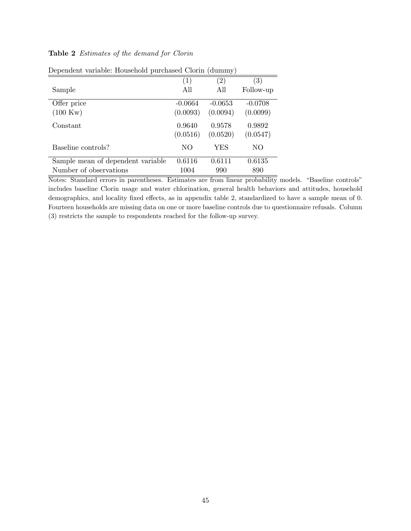# Table 2 Estimates of the demand for Clorin

|                                   |           | $\cdot$           |                   |
|-----------------------------------|-----------|-------------------|-------------------|
|                                   | (1)       | $\left( 2\right)$ | $\left( 3\right)$ |
| Sample                            | All       | All               | Follow-up         |
| Offer price                       | $-0.0664$ | $-0.0653$         | $-0.0708$         |
| $(100 \,\mathrm{Kw})$             | (0.0093)  | (0.0094)          | (0.0099)          |
| Constant                          | 0.9640    | 0.9578            | 0.9892            |
|                                   | (0.0516)  | (0.0520)          | (0.0547)          |
| Baseline controls?                | NО        | YES               | NO                |
| Sample mean of dependent variable | 0.6116    | 0.6111            | 0.6135            |
| Number of observations            | 1004      | 990               | 890               |

Dependent variable: Household purchased Clorin (dummy)

Notes: Standard errors in parentheses. Estimates are from linear probability models. "Baseline controls" includes baseline Clorin usage and water chlorination, general health behaviors and attitudes, household demographics, and locality fixed effects, as in appendix table 2, standardized to have a sample mean of 0. Fourteen households are missing data on one or more baseline controls due to questionnaire refusals. Column (3) restricts the sample to respondents reached for the follow-up survey.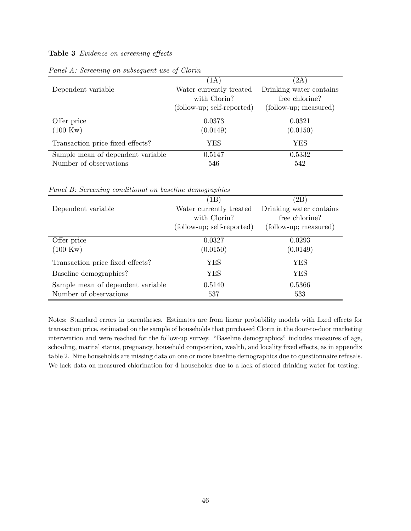#### Table 3 Evidence on screening effects

|                                   | (1A)                       | (2A)                    |
|-----------------------------------|----------------------------|-------------------------|
| Dependent variable                | Water currently treated    | Drinking water contains |
|                                   | with Clorin?               | free chlorine?          |
|                                   | (follow-up; self-reported) | (follow-up; measured)   |
| Offer price                       | 0.0373                     | 0.0321                  |
| $(100 \,\mathrm{Kw})$             | (0.0149)                   | (0.0150)                |
| Transaction price fixed effects?  | <b>YES</b>                 | YES                     |
| Sample mean of dependent variable | 0.5147                     | 0.5332                  |
| Number of observations            | 546                        | 542                     |

Panel A: Screening on subsequent use of Clorin

Panel B: Screening conditional on baseline demographics

|                                   | (1B)                       | $^{\prime}2\mathrm{B})$ |
|-----------------------------------|----------------------------|-------------------------|
| Dependent variable                | Water currently treated    | Drinking water contains |
|                                   | with Clorin?               | free chlorine?          |
|                                   | (follow-up; self-reported) | (follow-up; measured)   |
| Offer price                       | 0.0327                     | 0.0293                  |
| $(100 \,\mathrm{Kw})$             | (0.0150)                   | (0.0149)                |
| Transaction price fixed effects?  | YES                        | YES                     |
| Baseline demographics?            | YES                        | YES                     |
| Sample mean of dependent variable | 0.5140                     | 0.5366                  |
| Number of observations            | 537                        | 533                     |

Notes: Standard errors in parentheses. Estimates are from linear probability models with fixed effects for transaction price, estimated on the sample of households that purchased Clorin in the door-to-door marketing intervention and were reached for the follow-up survey. "Baseline demographics" includes measures of age, schooling, marital status, pregnancy, household composition, wealth, and locality fixed effects, as in appendix table 2. Nine households are missing data on one or more baseline demographics due to questionnaire refusals. We lack data on measured chlorination for 4 households due to a lack of stored drinking water for testing.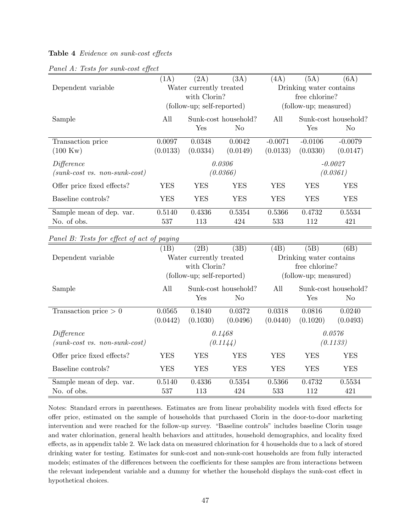#### Table 4 Evidence on sunk-cost effects

|                                 | (1A)     | (2A)                       | (3A)                 | (4A)      | (5A)                    | (6A)                 |  |
|---------------------------------|----------|----------------------------|----------------------|-----------|-------------------------|----------------------|--|
| Dependent variable              |          | Water currently treated    |                      |           | Drinking water contains |                      |  |
|                                 |          | with Clorin?               |                      |           | free chlorine?          |                      |  |
|                                 |          | (follow-up; self-reported) |                      |           | (follow-up; measured)   |                      |  |
| Sample                          | All      |                            | Sunk-cost household? | All       |                         | Sunk-cost household? |  |
|                                 |          | Yes                        | No.                  |           | Yes                     | No.                  |  |
| Transaction price               | 0.0097   | 0.0348                     | 0.0042               | $-0.0071$ | $-0.0106$               | $-0.0079$            |  |
| $(100 \,\mathrm{Kw})$           | (0.0133) | (0.0334)                   | (0.0149)             | (0.0133)  | (0.0330)                | (0.0147)             |  |
| Difference                      |          |                            | 0.0306               |           | $-0.0027$               |                      |  |
| $(sunk-cost vs. non-sunk-cost)$ |          |                            | (0.0366)             |           |                         | (0.0361)             |  |
| Offer price fixed effects?      | YES      | YES                        | YES                  | YES       | <b>YES</b>              | YES                  |  |
| Baseline controls?              | YES      | <b>YES</b>                 | <b>YES</b>           | YES       | YES                     | YES                  |  |
| Sample mean of dep. var.        | 0.5140   | 0.4336                     | 0.5354               | 0.5366    | 0.4732                  | 0.5534               |  |
| No. of obs.                     | 537      | 113                        | 424                  | 533       | 112                     | 421                  |  |
|                                 |          |                            |                      |           |                         |                      |  |

#### Panel A: Tests for sunk-cost effect

Panel B: Tests for effect of act of paying

|                                 | (1B)       | (2B)                       | (3B)                 | (4B)                    | (5B)           | (6B)                 |  |
|---------------------------------|------------|----------------------------|----------------------|-------------------------|----------------|----------------------|--|
| Dependent variable              |            | Water currently treated    |                      | Drinking water contains |                |                      |  |
|                                 |            | with Clorin?               |                      |                         | free chlorine? |                      |  |
|                                 |            | (follow-up; self-reported) |                      | (follow-up; measured)   |                |                      |  |
| Sample                          | All        |                            | Sunk-cost household? | All                     |                | Sunk-cost household? |  |
|                                 |            | Yes                        | No                   |                         | $_{\rm Yes}$   | N <sub>0</sub>       |  |
| Transaction price $> 0$         | 0.0565     | 0.1840                     | 0.0372               | 0.0318                  | 0.0816         | 0.0240               |  |
|                                 | (0.0442)   | (0.1030)                   | (0.0496)             | (0.0440)                | (0.1020)       | (0.0493)             |  |
| Differentce                     |            |                            | 0.1468               |                         |                | 0.0576               |  |
| $(sunk-cost vs. non-sunk-cost)$ |            |                            | (0.1144)             |                         |                | (0.1133)             |  |
| Offer price fixed effects?      | YES        | <b>YES</b>                 | <b>YES</b>           | YES                     | YES            | YES                  |  |
| Baseline controls?              | <b>YES</b> | <b>YES</b>                 | YES                  | YES                     | YES            | <b>YES</b>           |  |
| Sample mean of dep. var.        | 0.5140     | 0.4336                     | 0.5354               | 0.5366                  | 0.4732         | 0.5534               |  |
| No. of obs.                     | 537        | 113                        | 424                  | 533                     | 112            | 421                  |  |

Notes: Standard errors in parentheses. Estimates are from linear probability models with fixed effects for offer price, estimated on the sample of households that purchased Clorin in the door-to-door marketing intervention and were reached for the follow-up survey. "Baseline controls" includes baseline Clorin usage and water chlorination, general health behaviors and attitudes, household demographics, and locality fixed effects, as in appendix table 2. We lack data on measured chlorination for 4 households due to a lack of stored drinking water for testing. Estimates for sunk-cost and non-sunk-cost households are from fully interacted models; estimates of the differences between the coefficients for these samples are from interactions between the relevant independent variable and a dummy for whether the household displays the sunk-cost effect in hypothetical choices.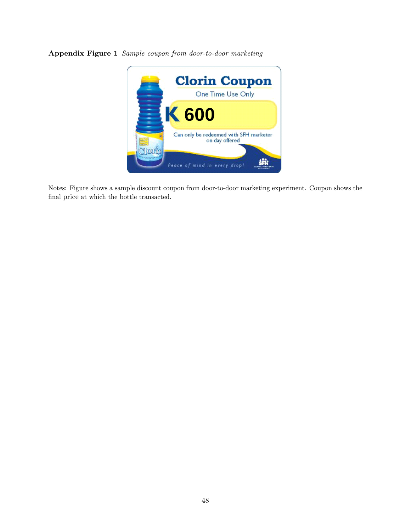

Appendix Figure 1 Sample coupon from door-to-door marketing

Notes: Figure shows a sample discount coupon from door-to-door marketing experiment. Coupon shows the final price at which the bottle transacted.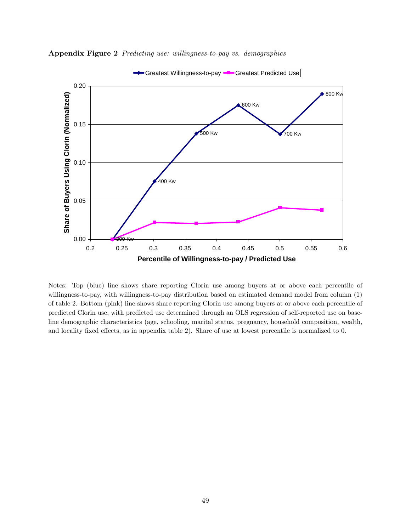

Appendix Figure 2 Predicting use: willingness-to-pay vs. demographics

Notes: Top (blue) line shows share reporting Clorin use among buyers at or above each percentile of willingness-to-pay, with willingness-to-pay distribution based on estimated demand model from column (1) of table 2. Bottom (pink) line shows share reporting Clorin use among buyers at or above each percentile of predicted Clorin use, with predicted use determined through an OLS regression of self-reported use on baseline demographic characteristics (age, schooling, marital status, pregnancy, household composition, wealth, and locality fixed effects, as in appendix table 2). Share of use at lowest percentile is normalized to 0.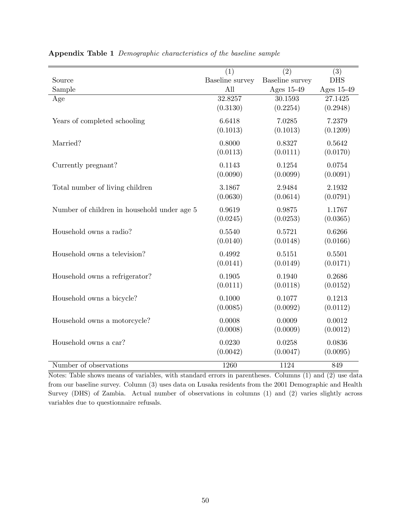|                                             | (1)             | $\overline{(2)}$ | $\overline{(3)}$ |
|---------------------------------------------|-----------------|------------------|------------------|
| Source                                      | Baseline survey | Baseline survey  | <b>DHS</b>       |
| Sample                                      | All             | Ages 15-49       | Ages 15-49       |
| Age                                         | 32.8257         | 30.1593          | 27.1425          |
|                                             | (0.3130)        | (0.2254)         | (0.2948)         |
| Years of completed schooling                | 6.6418          | 7.0285           | 7.2379           |
|                                             | (0.1013)        | (0.1013)         | (0.1209)         |
|                                             |                 |                  |                  |
| Married?                                    | 0.8000          | 0.8327           | 0.5642           |
|                                             | (0.0113)        | (0.0111)         | (0.0170)         |
| Currently pregnant?                         | 0.1143          | 0.1254           | 0.0754           |
|                                             | (0.0090)        | (0.0099)         | (0.0091)         |
| Total number of living children             | 3.1867          | 2.9484           | 2.1932           |
|                                             | (0.0630)        | (0.0614)         | (0.0791)         |
|                                             |                 |                  |                  |
| Number of children in household under age 5 | 0.9619          | 0.9875           | 1.1767           |
|                                             | (0.0245)        | (0.0253)         | (0.0365)         |
| Household owns a radio?                     | 0.5540          | 0.5721           | 0.6266           |
|                                             | (0.0140)        | (0.0148)         | (0.0166)         |
|                                             |                 |                  |                  |
| Household owns a television?                | 0.4992          | 0.5151           | 0.5501           |
|                                             | (0.0141)        | (0.0149)         | (0.0171)         |
| Household owns a refrigerator?              | 0.1905          | 0.1940           | 0.2686           |
|                                             | (0.0111)        | (0.0118)         | (0.0152)         |
|                                             | 0.1000          |                  | 0.1213           |
| Household owns a bicycle?                   |                 | 0.1077           |                  |
|                                             | (0.0085)        | (0.0092)         | (0.0112)         |
| Household owns a motorcycle?                | 0.0008          | 0.0009           | 0.0012           |
|                                             | (0.0008)        | (0.0009)         | (0.0012)         |
| Household owns a car?                       | 0.0230          | 0.0258           | 0.0836           |
|                                             | (0.0042)        | (0.0047)         | (0.0095)         |
|                                             |                 |                  |                  |
| Number of observations                      | 1260            | 1124             | 849              |

Appendix Table 1 Demographic characteristics of the baseline sample

Notes: Table shows means of variables, with standard errors in parentheses. Columns (1) and (2) use data from our baseline survey. Column (3) uses data on Lusaka residents from the 2001 Demographic and Health Survey (DHS) of Zambia. Actual number of observations in columns (1) and (2) varies slightly across variables due to questionnaire refusals.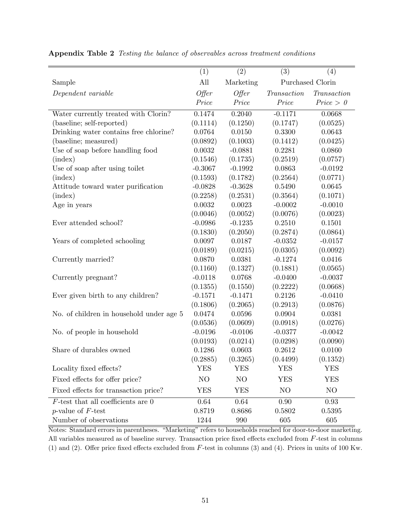|                                          | (1)        | (2)         | (3)              | (4)          |
|------------------------------------------|------------|-------------|------------------|--------------|
| Sample                                   | All        | Marketing   | Purchased Clorin |              |
| Dependent variable                       | Offer      | Offer       | Transaction      | Transaction  |
|                                          | Price      | Price       | Price            | Price > 0    |
| Water currently treated with Clorin?     | 0.1474     | 0.2040      | $-0.1171$        | 0.0668       |
| (baseline; self-reported)                | (0.1114)   | (0.1250)    | (0.1747)         | (0.0525)     |
| Drinking water contains free chlorine?   | 0.0764     | 0.0150      | 0.3300           | 0.0643       |
| (baseline; measured)                     | (0.0892)   | (0.1003)    | (0.1412)         | (0.0425)     |
| Use of soap before handling food         | 0.0032     | $-0.0881$   | 0.2281           | 0.0860       |
| $(\text{index})$                         | (0.1546)   | (0.1735)    | (0.2519)         | (0.0757)     |
| Use of soap after using toilet           | $-0.3067$  | $-0.1992$   | 0.0863           | $-0.0192$    |
| $(\text{index})$                         | (0.1593)   | (0.1782)    | (0.2564)         | (0.0771)     |
| Attitude toward water purification       | $-0.0828$  | $-0.3628$   | 0.5490           | 0.0645       |
| $(\text{index})$                         | (0.2258)   | (0.2531)    | (0.3564)         | (0.1071)     |
| Age in years                             | 0.0032     | 0.0023      | $-0.0002$        | $-0.0010$    |
|                                          | (0.0046)   | (0.0052)    | (0.0076)         | (0.0023)     |
| Ever attended school?                    | $-0.0986$  | $-0.1235$   | 0.2510           | 0.1501       |
|                                          | (0.1830)   | (0.2050)    | (0.2874)         | (0.0864)     |
| Years of completed schooling             | 0.0097     | 0.0187      | $-0.0352$        | $-0.0157$    |
|                                          | (0.0189)   | (0.0215)    | (0.0305)         | (0.0092)     |
| Currently married?                       | 0.0870     | 0.0381      | $-0.1274$        | 0.0416       |
|                                          | (0.1160)   | (0.1327)    | (0.1881)         | (0.0565)     |
| Currently pregnant?                      | $-0.0118$  | 0.0768      | $-0.0400$        | $-0.0037$    |
|                                          | (0.1355)   | (0.1550)    | (0.2222)         | (0.0668)     |
| Ever given birth to any children?        | $-0.1571$  | $-0.1471$   | 0.2126           | $-0.0410$    |
|                                          | (0.1806)   | (0.2065)    | (0.2913)         | (0.0876)     |
| No. of children in household under age 5 | 0.0474     | 0.0596      | 0.0904           | 0.0381       |
|                                          | (0.0536)   | (0.0609)    | (0.0918)         | (0.0276)     |
| No. of people in household               | $-0.0196$  | $-0.0106$   | $-0.0377$        | $-0.0042$    |
|                                          | (0.0193)   | (0.0214)    | (0.0298)         | (0.0090)     |
| Share of durables owned                  | 0.1286     | 0.0603      | 0.2612           | 0.0100       |
|                                          | (0.2885)   | (0.3265)    | (0.4499)         | (0.1352)     |
| Locality fixed effects?                  | YES        | ${\rm YES}$ | $_{\rm YES}$     | $_{\rm YES}$ |
| Fixed effects for offer price?           | NO         | NO          | <b>YES</b>       | <b>YES</b>   |
| Fixed effects for transaction price?     | <b>YES</b> | <b>YES</b>  | NO               | NO           |
| $F$ -test that all coefficients are 0    | 0.64       | 0.64        | 0.90             | 0.93         |
| $p$ -value of $F$ -test                  | 0.8719     | 0.8686      | 0.5802           | 0.5395       |
| Number of observations                   | 1244       | 990         | 605              | 605          |

Appendix Table 2 Testing the balance of observables across treatment conditions

Notes: Standard errors in parentheses. "Marketing" refers to households reached for door-to-door marketing. All variables measured as of baseline survey. Transaction price fixed effects excluded from  $F$ -test in columns (1) and (2). Offer price fixed effects excluded from  $F$ -test in columns (3) and (4). Prices in units of 100 Kw.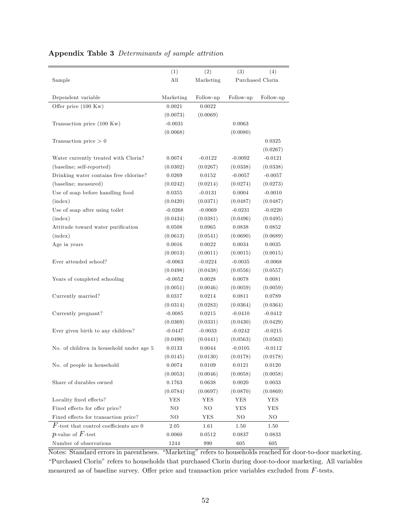|                                           | (1)            | (2)       | (3)       | (4)              |
|-------------------------------------------|----------------|-----------|-----------|------------------|
| Sample                                    | All            | Marketing |           | Purchased Clorin |
|                                           |                |           |           |                  |
| Dependent variable                        | Marketing      | Follow-up | Follow-up | Follow-up        |
| Offer price (100 Kw)                      | 0.0021         | 0.0022    |           |                  |
|                                           | (0.0073)       | (0.0069)  |           |                  |
| Transaction price $(100 \text{ Kw})$      | $-0.0031$      |           | 0.0063    |                  |
|                                           | (0.0068)       |           | (0.0080)  |                  |
| Transaction price $> 0$                   |                |           |           | 0.0325           |
|                                           |                |           |           | (0.0267)         |
| Water currently treated with Clorin?      | 0.0074         | $-0.0122$ | $-0.0092$ | $-0.0121$        |
| (baseline; self-reported)                 | (0.0302)       | (0.0267)  | (0.0338)  | (0.0338)         |
| Drinking water contains free chlorine?    | 0.0269         | 0.0152    | $-0.0057$ | $-0.0057$        |
| (baseline; measured)                      | (0.0242)       | (0.0214)  | (0.0274)  | (0.0273)         |
| Use of soap before handling food          | 0.0355         | $-0.0131$ | 0.0004    | $-0.0010$        |
| $(\text{index})$                          | (0.0420)       | (0.0371)  | (0.0487)  | (0.0487)         |
| Use of soap after using toilet            | $-0.0268$      | $-0.0069$ | $-0.0231$ | $-0.0220$        |
| $(\text{index})$                          | (0.0434)       | (0.0381)  | (0.0496)  | (0.0495)         |
| Attitude toward water purification        | 0.0508         | 0.0965    | 0.0838    | 0.0852           |
| $(\text{index})$                          | (0.0613)       | (0.0541)  | (0.0690)  | (0.0689)         |
| Age in years                              | 0.0016         | 0.0022    | 0.0034    | 0.0035           |
|                                           | (0.0013)       | (0.0011)  | (0.0015)  | (0.0015)         |
| Ever attended school?                     | $-0.0063$      | $-0.0224$ | $-0.0035$ | $-0.0068$        |
|                                           | (0.0498)       | (0.0438)  | (0.0556)  | (0.0557)         |
| Years of completed schooling              | $-0.0052$      | 0.0028    | 0.0078    | 0.0081           |
|                                           | (0.0051)       | (0.0046)  | (0.0059)  | (0.0059)         |
| Currently married?                        | 0.0317         | 0.0214    | 0.0811    | 0.0789           |
|                                           | (0.0314)       | (0.0283)  | (0.0364)  | (0.0364)         |
| Currently pregnant?                       | $-0.0085$      | 0.0215    | $-0.0410$ | $-0.0412$        |
|                                           | (0.0369)       | (0.0331)  | (0.0430)  | (0.0429)         |
| Ever given birth to any children?         | $-0.0447$      | $-0.0033$ | $-0.0242$ | $-0.0215$        |
|                                           | (0.0490)       | (0.0441)  | (0.0563)  | (0.0563)         |
| No. of children in household under age 5  | 0.0133         | 0.0044    | $-0.0105$ | $-0.0112$        |
|                                           | (0.0145)       | (0.0130)  | (0.0178)  | (0.0178)         |
| No. of people in household                | $0.0074\,$     | 0.0109    | 0.0121    | 0.0120           |
|                                           | (0.0053)       | (0.0046)  | (0.0058)  | (0.0058)         |
| Share of durables owned                   | 0.1763         | 0.0638    | 0.0020    | 0.0033           |
|                                           | (0.0784)       | (0.0697)  | (0.0870)  | (0.0869)         |
| Locality fixed effects?                   | YES            | YES       | YES       | ${\rm YES}$      |
| Fixed effects for offer price?            | N <sub>O</sub> | NO        | YES       | YES              |
| Fixed effects for transaction price?      | NO             | YES       | NO        | $_{\rm NO}$      |
| $F$ -test that control coefficients are 0 | 2.05           | 1.61      | 1.50      | 1.50             |
| p-value of $F$ -test                      | 0.0060         | 0.0512    | 0.0837    | 0.0833           |
| Number of observations                    | 1244           | 990       | 605       | $605\,$          |

### Appendix Table 3 Determinants of sample attrition

Notes: Standard errors in parentheses. "Marketing" refers to households reached for door-to-door marketing. "Purchased Clorin" refers to households that purchased Clorin during door-to-door marketing. All variables measured as of baseline survey. Offer price and transaction price variables excluded from  $F$ -tests.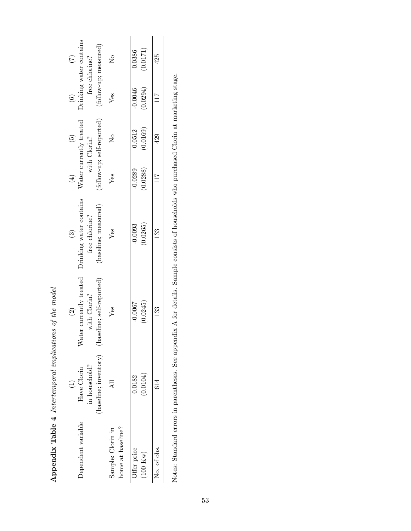|  | Drinking water contains | free chlorine? | (follow-up; measured)      | $\overline{N}$          |                   | 0.0386      | (0.0171) | 425         |
|--|-------------------------|----------------|----------------------------|-------------------------|-------------------|-------------|----------|-------------|
|  |                         |                |                            | Yes                     |                   | $-0.0046$   | (0.0294) | 117         |
|  | Nater currently treated | with Clorin?   | (follow-up; self-reported) | $\overline{\mathsf{z}}$ |                   | 0.0512      | (0.0169) | 429         |
|  |                         |                |                            | Yes                     |                   | $-0.0289$   | (0.0288) |             |
|  | Drinking water contains | free chlorine? | (baseline; measured)       | Yes                     |                   | $-0.0093$   | (0.0265) | 133         |
|  | Water currently treated | with Clorin?   | (baseline; self-reported)  | $Y$ es                  |                   | $-0.0067$   | (0.0245) | 133         |
|  | Have Clorin             | in household?  | baseline; inventory)       |                         |                   | 0.0182      | 0.0104)  | 614         |
|  | Dependent variable      |                |                            | Sample: Clorin in       | home at baseline? | Offer price | (100 Kw) | No. of obs. |

Appendix Table 4 Intertemporal implications of the model  ${\large \bf Appendix}$  Table  $4$  Intertemporal implications of the model Notes: Standard errors in parentheses. See appendix A for details. Sample consists of households who purchased Clorin at marketing stage. Notes: Standard errors in parentheses. See appendix A for details. Sample consists of households who purchased Clorin at marketing stage.